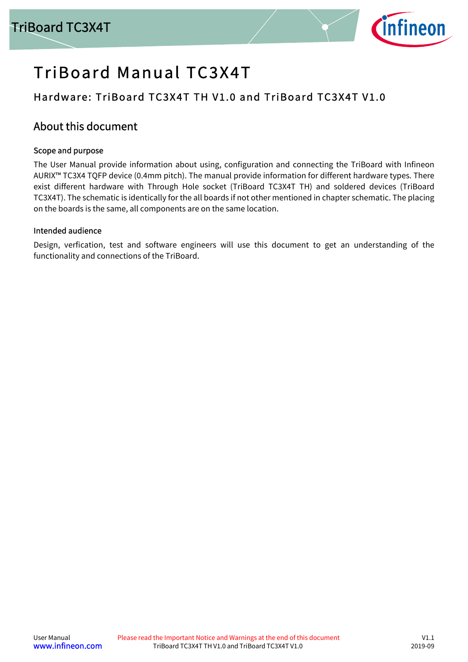

# TriBoard Manual TC3X4T

# Hardware: TriBoard TC3X4T TH V1.0 and TriBoard TC3X4T V1.0

# <span id="page-0-0"></span>About this document

#### Scope and purpose

The User Manual provide information about using, configuration and connecting the TriBoard with Infineon AURIX™ TC3X4 TQFP device (0.4mm pitch). The manual provide information for different hardware types. There exist different hardware with Through Hole socket (TriBoard TC3X4T TH) and soldered devices (TriBoard TC3X4T). The schematic is identically for the all boards if not other mentioned in chapter schematic. The placing on the boards is the same, all components are on the same location.

#### Intended audience

Design, verfication, test and software engineers will use this document to get an understanding of the functionality and connections of the TriBoard.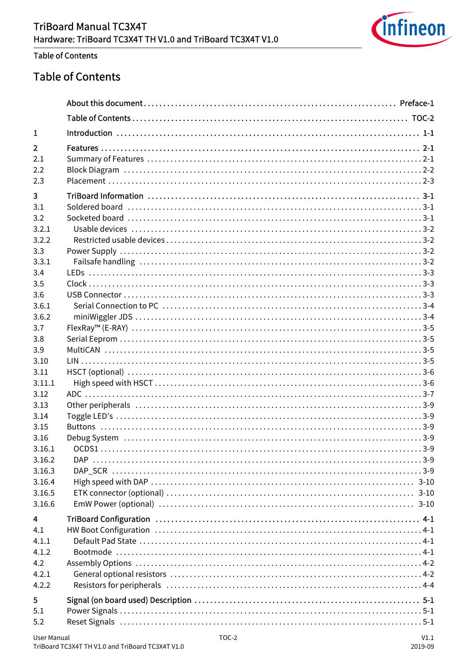

#### **Table of Contents**

# <span id="page-1-0"></span>**Table of Contents**

| 1                       |  |
|-------------------------|--|
| $\overline{2}$          |  |
| 2.1                     |  |
| 2.2                     |  |
| 2.3                     |  |
| $\overline{\mathbf{3}}$ |  |
| 3.1                     |  |
| 3.2                     |  |
| 3.2.1                   |  |
| 3.2.2<br>3.3            |  |
| 3.3.1                   |  |
| 3.4                     |  |
| 3.5                     |  |
| 3.6                     |  |
| 3.6.1                   |  |
| 3.6.2                   |  |
| 3.7                     |  |
| 3.8                     |  |
| 3.9                     |  |
| 3.10                    |  |
| 3.11                    |  |
| 3.11.1                  |  |
| 3.12                    |  |
| 3.13                    |  |
| 3.14                    |  |
| 3.15                    |  |
| 3.16                    |  |
| 3.16.1                  |  |
| 3.16.2                  |  |
| 3.16.3<br>3.16.4        |  |
| 3.16.5                  |  |
| 3.16.6                  |  |
|                         |  |
| $\overline{\mathbf{4}}$ |  |
| 4.1                     |  |
| 4.1.1                   |  |
| 4.1.2<br>4.2            |  |
| 4.2.1                   |  |
| 4.2.2                   |  |
|                         |  |
| 5                       |  |
| 5.1                     |  |
| 5.2                     |  |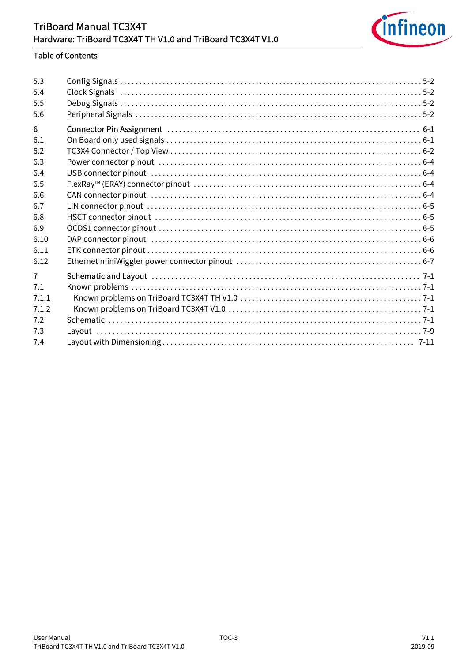

#### **Table of Contents**

| 5.3<br>5.4<br>5.5<br>5.6 |  |
|--------------------------|--|
| 6                        |  |
| 6.1                      |  |
| 6.2                      |  |
| 6.3                      |  |
| 6.4                      |  |
| 6.5                      |  |
| 6.6                      |  |
| 6.7                      |  |
| 6.8                      |  |
| 6.9                      |  |
| 6.10                     |  |
| 6.11                     |  |
| 6.12                     |  |
| $\overline{7}$           |  |
| 7.1                      |  |
| 7.1.1                    |  |
| 7.1.2                    |  |
| 7.2                      |  |
| 7.3                      |  |
| 7.4                      |  |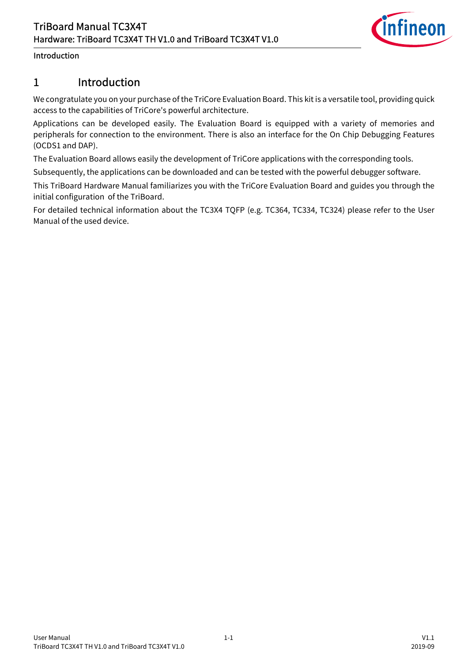

#### Introduction

# <span id="page-3-0"></span>1 Introduction

We congratulate you on your purchase of the TriCore Evaluation Board. This kit is a versatile tool, providing quick access to the capabilities of TriCore's powerful architecture.

Applications can be developed easily. The Evaluation Board is equipped with a variety of memories and peripherals for connection to the environment. There is also an interface for the On Chip Debugging Features (OCDS1 and DAP).

The Evaluation Board allows easily the development of TriCore applications with the corresponding tools.

Subsequently, the applications can be downloaded and can be tested with the powerful debugger software.

This TriBoard Hardware Manual familiarizes you with the TriCore Evaluation Board and guides you through the initial configuration of the TriBoard.

For detailed technical information about the TC3X4 TQFP (e.g. TC364, TC334, TC324) please refer to the User Manual of the used device.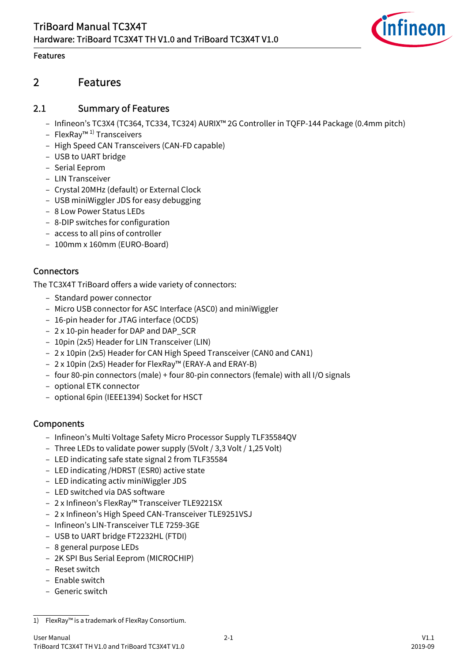

#### Features

# <span id="page-4-0"></span>2 Features

#### <span id="page-4-1"></span>2.1 Summary of Features

- Infineon's TC3X4 (TC364, TC334, TC324) AURIX™ 2G Controller in TQFP-144 Package (0.4mm pitch)
- FlexRay™ 1) Transceivers
- High Speed CAN Transceivers (CAN-FD capable)
- USB to UART bridge
- Serial Eeprom
- LIN Transceiver
- Crystal 20MHz (default) or External Clock
- USB miniWiggler JDS for easy debugging
- 8 Low Power Status LEDs
- 8-DIP switches for configuration
- access to all pins of controller
- 100mm x 160mm (EURO-Board)

#### **Connectors**

The TC3X4T TriBoard offers a wide variety of connectors:

- Standard power connector
- Micro USB connector for ASC Interface (ASC0) and miniWiggler
- 16-pin header for JTAG interface (OCDS)
- 2 x 10-pin header for DAP and DAP\_SCR
- 10pin (2x5) Header for LIN Transceiver (LIN)
- 2 x 10pin (2x5) Header for CAN High Speed Transceiver (CAN0 and CAN1)
- 2 x 10pin (2x5) Header for FlexRay™ (ERAY-A and ERAY-B)
- four 80-pin connectors (male) + four 80-pin connectors (female) with all I/O signals
- optional ETK connector
- optional 6pin (IEEE1394) Socket for HSCT

#### Components

- Infineon's Multi Voltage Safety Micro Processor Supply TLF35584QV
- Three LEDs to validate power supply (5Volt / 3,3 Volt / 1,25 Volt)
- LED indicating safe state signal 2 from TLF35584
- LED indicating /HDRST (ESR0) active state
- LED indicating activ miniWiggler JDS
- LED switched via DAS software
- 2 x Infineon's FlexRay™ Transceiver TLE9221SX
- 2 x Infineon's High Speed CAN-Transceiver TLE9251VSJ
- Infineon's LIN-Transceiver TLE 7259-3GE
- USB to UART bridge FT2232HL (FTDI)
- 8 general purpose LEDs
- 2K SPI Bus Serial Eeprom (MICROCHIP)
- Reset switch
- Enable switch
- Generic switch

<sup>1)</sup> FlexRay™ is a trademark of FlexRay Consortium.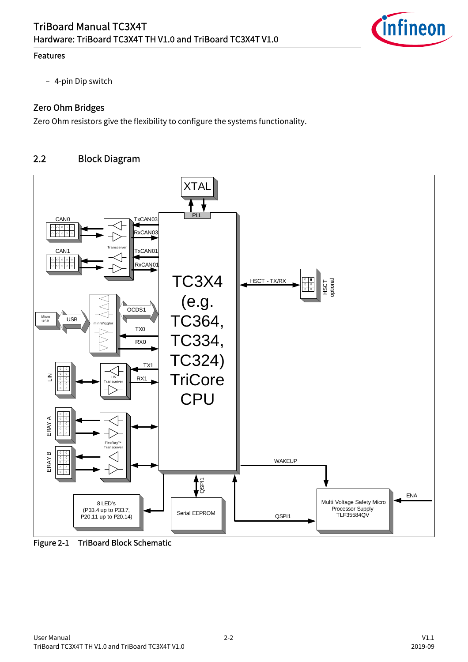

#### Features

– 4-pin Dip switch

#### Zero Ohm Bridges

Zero Ohm resistors give the flexibility to configure the systems functionality.

# <span id="page-5-0"></span>2.2 Block Diagram



Figure 2-1 TriBoard Block Schematic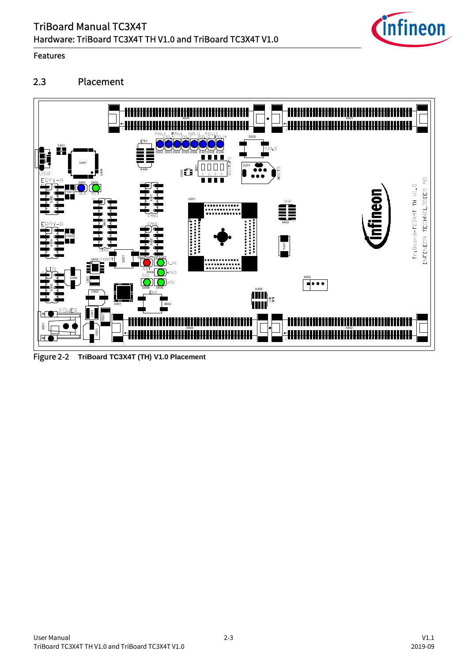

#### Features

# <span id="page-6-0"></span>2.3 Placement



Figure 2-2 **TriBoard TC3X4T (TH) V1.0 Placement**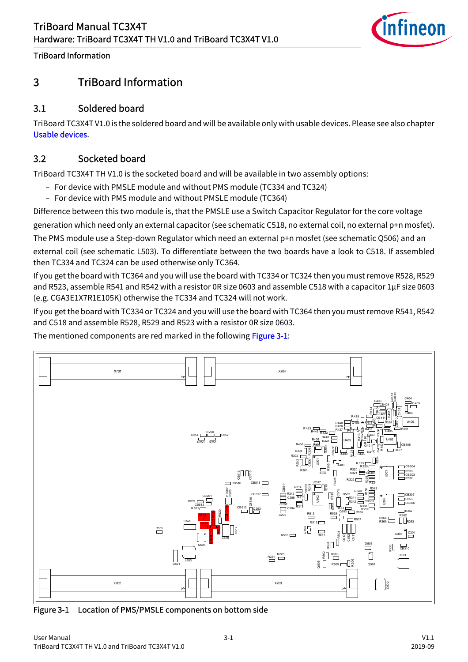

# <span id="page-7-0"></span>3 TriBoard Information

# <span id="page-7-1"></span>3.1 Soldered board

TriBoard TC3X4T V1.0 is the soldered board and will be available only with usable devices. Please see also chapter [Usable devices.](#page-8-0)

# <span id="page-7-2"></span>3.2 Socketed board

TriBoard TC3X4T TH V1.0 is the socketed board and will be available in two assembly options:

- For device with PMSLE module and without PMS module (TC334 and TC324)
- For device with PMS module and without PMSLE module (TC364)

Difference between this two module is, that the PMSLE use a Switch Capacitor Regulator for the core voltage

generation which need only an external capacitor (see schematic C518, no external coil, no external p+n mosfet).

The PMS module use a Step-down Regulator which need an external p+n mosfet (see schematic Q506) and an

external coil (see schematic L503). To differentiate between the two boards have a look to C518. If assembled then TC334 and TC324 can be used otherwise only TC364.

If you get the board with TC364 and you will use the board with TC334 or TC324 then you must remove R528, R529 and R523, assemble R541 and R542 with a resistor 0R size 0603 and assemble C518 with a capacitor 1µF size 0603 (e.g. CGA3E1X7R1E105K) otherwise the TC334 and TC324 will not work.

If you get the board with TC334 or TC324 and you will use the board with TC364 then you must remove R541, R542 and C518 and assemble R528, R529 and R523 with a resistor 0R size 0603.

The mentioned components are red marked in the following [Figure 3-1:](#page-7-3)



<span id="page-7-3"></span>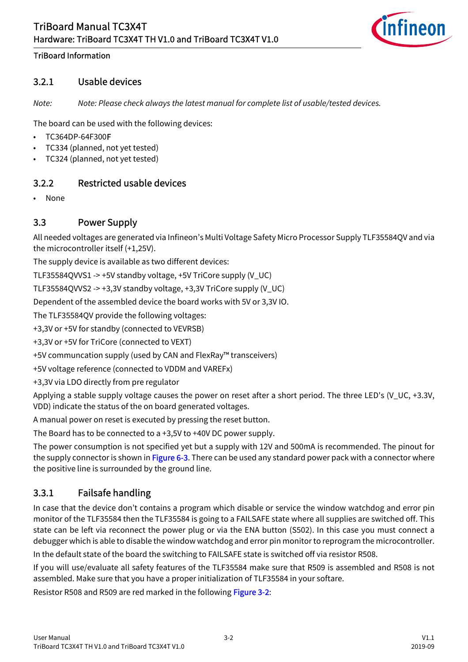

#### <span id="page-8-0"></span>3.2.1 Usable devices

*Note: Note: Please check always the latest manual for complete list of usable/tested devices.*

The board can be used with the following devices:

- TC364DP-64F300F
- TC334 (planned, not yet tested)
- TC324 (planned, not yet tested)

# <span id="page-8-1"></span>3.2.2 Restricted usable devices

• None

#### <span id="page-8-2"></span>3.3 Power Supply

All needed voltages are generated via Infineon's Multi Voltage Safety Micro Processor Supply TLF35584QV and via the microcontroller itself (+1,25V).

The supply device is available as two different devices:

TLF35584QVVS1 -> +5V standby voltage, +5V TriCore supply (V\_UC)

TLF35584QVVS2 -> +3,3V standby voltage, +3,3V TriCore supply (V\_UC)

Dependent of the assembled device the board works with 5V or 3,3V IO.

The TLF35584QV provide the following voltages:

+3,3V or +5V for standby (connected to VEVRSB)

+3,3V or +5V for TriCore (connected to VEXT)

+5V communcation supply (used by CAN and FlexRay™ transceivers)

+5V voltage reference (connected to VDDM and VAREFx)

+3,3V via LDO directly from pre regulator

Applying a stable supply voltage causes the power on reset after a short period. The three LED's (V\_UC, +3.3V, VDD) indicate the status of the on board generated voltages.

A manual power on reset is executed by pressing the reset button.

The Board has to be connected to a +3,5V to +40V DC power supply.

The power consumption is not specified yet but a supply with 12V and 500mA is recommended. The pinout for the supply connector is shown in [Figure 6-3.](#page-29-4) There can be used any standard power pack with a connector where the positive line is surrounded by the ground line.

# <span id="page-8-3"></span>3.3.1 Failsafe handling

In case that the device don't contains a program which disable or service the window watchdog and error pin monitor of the TLF35584 then the TLF35584 is going to a FAILSAFE state where all supplies are switched off. This state can be left via reconnect the power plug or via the ENA button (S502). In this case you must connect a debugger which is able to disable the window watchdog and error pin monitor to reprogram the microcontroller. In the default state of the board the switching to FAILSAFE state is switched off via resistor R508.

If you will use/evaluate all safety features of the TLF35584 make sure that R509 is assembled and R508 is not assembled. Make sure that you have a proper initialization of TLF35584 in your softare.

Resistor R508 and R509 are red marked in the following [Figure 3-2](#page-9-3):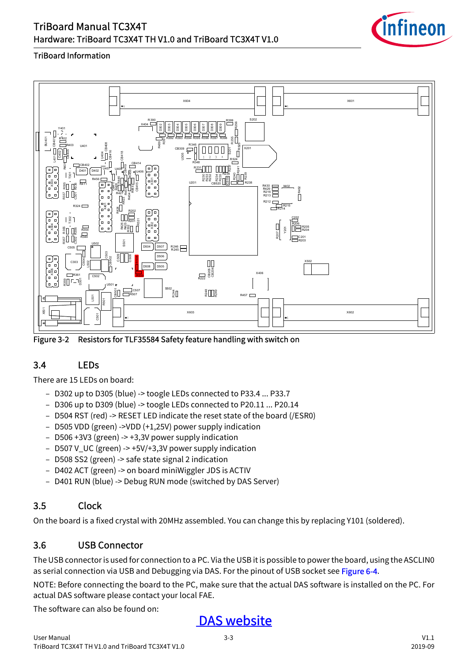

#### TriBoard Information



<span id="page-9-3"></span>Figure 3-2 Resistors for TLF35584 Safety feature handling with switch on

# <span id="page-9-0"></span>3.4 LEDs

There are 15 LEDs on board:

- D302 up to D305 (blue) -> toogle LEDs connected to P33.4 ... P33.7
- D306 up to D309 (blue) -> toogle LEDs connected to P20.11 ... P20.14
- D504 RST (red) -> RESET LED indicate the reset state of the board (/ESR0)
- D505 VDD (green) ->VDD (+1,25V) power supply indication
- D506 +3V3 (green) -> +3,3V power supply indication
- D507 V\_UC (green) -> +5V/+3,3V power supply indication
- D508 SS2 (green) -> safe state signal 2 indication
- D402 ACT (green) -> on board miniWiggler JDS is ACTIV
- D401 RUN (blue) -> Debug RUN mode (switched by DAS Server)

# <span id="page-9-1"></span>3.5 Clock

On the board is a fixed crystal with 20MHz assembled. You can change this by replacing Y101 (soldered).

# <span id="page-9-2"></span>3.6 USB Connector

The USB connector is used for connection to a PC. Via the USB it is possible to power the board, using the ASCLIN0 as serial connection via USB and Debugging via DAS. For the pinout of USB socket see [Figure 6-4.](#page-29-5)

NOTE: Before connecting the board to the PC, make sure that the actual DAS software is installed on the PC. For actual DAS software please contact your local FAE.

The software can also be found on:

# [DAS website](http://www.infineon.com/das)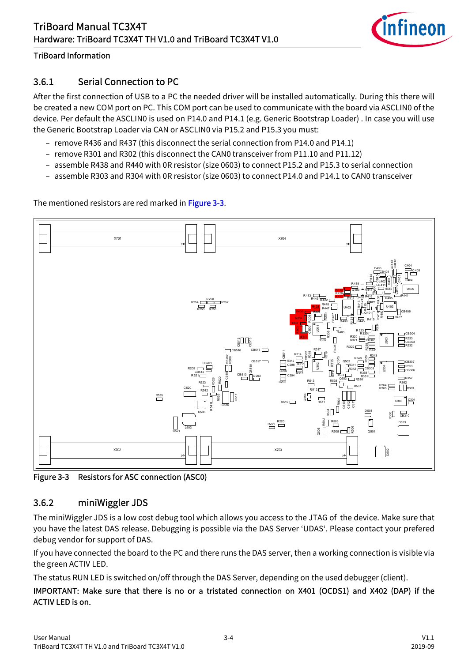

# <span id="page-10-0"></span>3.6.1 Serial Connection to PC

After the first connection of USB to a PC the needed driver will be installed automatically. During this there will be created a new COM port on PC. This COM port can be used to communicate with the board via ASCLIN0 of the device. Per default the ASCLIN0 is used on P14.0 and P14.1 (e.g. Generic Bootstrap Loader) . In case you will use the Generic Bootstrap Loader via CAN or ASCLIN0 via P15.2 and P15.3 you must:

- remove R436 and R437 (this disconnect the serial connection from P14.0 and P14.1)
- remove R301 and R302 (this disconnect the CAN0 transceiver from P11.10 and P11.12)
- assemble R438 and R440 with 0R resistor (size 0603) to connect P15.2 and P15.3 to serial connection
- assemble R303 and R304 with 0R resistor (size 0603) to connect P14.0 and P14.1 to CAN0 transceiver

The mentioned resistors are red marked in [Figure 3-3.](#page-10-2)



<span id="page-10-2"></span>Figure 3-3 Resistors for ASC connection (ASC0)

# <span id="page-10-1"></span>3.6.2 miniWiggler JDS

The miniWiggler JDS is a low cost debug tool which allows you access to the JTAG of the device. Make sure that you have the latest DAS release. Debugging is possible via the DAS Server 'UDAS'. Please contact your prefered debug vendor for support of DAS.

If you have connected the board to the PC and there runs the DAS server, then a working connection is visible via the green ACTIV LED.

The status RUN LED is switched on/off through the DAS Server, depending on the used debugger (client).

#### IMPORTANT: Make sure that there is no or a tristated connection on X401 (OCDS1) and X402 (DAP) if the ACTIV LED is on.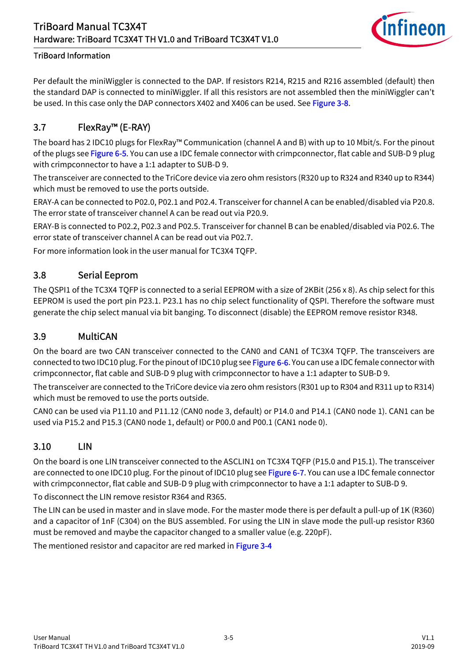

Per default the miniWiggler is connected to the DAP. If resistors R214, R215 and R216 assembled (default) then the standard DAP is connected to miniWiggler. If all this resistors are not assembled then the miniWiggler can't be used. In this case only the DAP connectors X402 and X406 can be used. See [Figure 3-8.](#page-16-3)

# <span id="page-11-0"></span>3.7 FlexRay™ (E-RAY)

The board has 2 IDC10 plugs for FlexRay™ Communication (channel A and B) with up to 10 Mbit/s. For the pinout of the plugs see [Figure 6-5.](#page-29-6) You can use a IDC female connector with crimpconnector, flat cable and SUB-D 9 plug with crimpconnector to have a 1:1 adapter to SUB-D 9.

The transceiver are connected to the TriCore device via zero ohm resistors (R320 up to R324 and R340 up to R344) which must be removed to use the ports outside.

ERAY-A can be connected to P02.0, P02.1 and P02.4. Transceiver for channel A can be enabled/disabled via P20.8. The error state of transceiver channel A can be read out via P20.9.

ERAY-B is connected to P02.2, P02.3 and P02.5. Transceiver for channel B can be enabled/disabled via P02.6. The error state of transceiver channel A can be read out via P02.7.

For more information look in the user manual for TC3X4 TQFP.

#### <span id="page-11-1"></span>3.8 Serial Eeprom

The QSPI1 of the TC3X4 TQFP is connected to a serial EEPROM with a size of 2KBit (256 x 8). As chip select for this EEPROM is used the port pin P23.1. P23.1 has no chip select functionality of QSPI. Therefore the software must generate the chip select manual via bit banging. To disconnect (disable) the EEPROM remove resistor R348.

#### <span id="page-11-2"></span>3.9 MultiCAN

On the board are two CAN transceiver connected to the CAN0 and CAN1 of TC3X4 TQFP. The transceivers are connected to two IDC10 plug. For the pinout of IDC10 plug see [Figure 6-6.](#page-29-7) You can use a IDC female connector with crimpconnector, flat cable and SUB-D 9 plug with crimpconnector to have a 1:1 adapter to SUB-D 9.

The transceiver are connected to the TriCore device via zero ohm resistors (R301 up to R304 and R311 up to R314) which must be removed to use the ports outside.

CAN0 can be used via P11.10 and P11.12 (CAN0 node 3, default) or P14.0 and P14.1 (CAN0 node 1). CAN1 can be used via P15.2 and P15.3 (CAN0 node 1, default) or P00.0 and P00.1 (CAN1 node 0).

# <span id="page-11-3"></span>3.10 LIN

On the board is one LIN transceiver connected to the ASCLIN1 on TC3X4 TQFP (P15.0 and P15.1). The transceiver are connected to one IDC10 plug. For the pinout of IDC10 plug see [Figure 6-7.](#page-30-3) You can use a IDC female connector with crimpconnector, flat cable and SUB-D 9 plug with crimpconnector to have a 1:1 adapter to SUB-D 9.

To disconnect the LIN remove resistor R364 and R365.

The LIN can be used in master and in slave mode. For the master mode there is per default a pull-up of 1K (R360) and a capacitor of 1nF (C304) on the BUS assembled. For using the LIN in slave mode the pull-up resistor R360 must be removed and maybe the capacitor changed to a smaller value (e.g. 220pF).

The mentioned resistor and capacitor are red marked in [Figure 3-4](#page-12-2)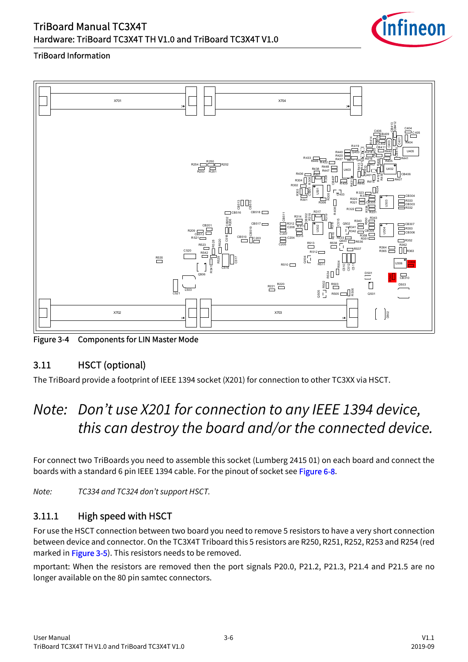

#### TriBoard Information



<span id="page-12-2"></span>Figure 3-4 Components for LIN Master Mode

# <span id="page-12-0"></span>3.11 HSCT (optional)

The TriBoard provide a footprint of IEEE 1394 socket (X201) for connection to other TC3XX via HSCT.

# *Note: Don't use X201 for connection to any IEEE 1394 device, this can destroy the board and/or the connected device.*

For connect two TriBoards you need to assemble this socket (Lumberg 2415 01) on each board and connect the boards with a standard 6 pin IEEE 1394 cable. For the pinout of socket see [Figure 6-8.](#page-30-4)

*Note: TC334 and TC324 don't support HSCT.*

# <span id="page-12-1"></span>3.11.1 High speed with HSCT

For use the HSCT connection between two board you need to remove 5 resistors to have a very short connection between device and connector. On the TC3X4T Triboard this 5 resistors are R250, R251, R252, R253 and R254 (red marked in [Figure 3-5\)](#page-13-1). This resistors needs to be removed.

mportant: When the resistors are removed then the port signals P20.0, P21.2, P21.3, P21.4 and P21.5 are no longer available on the 80 pin samtec connectors.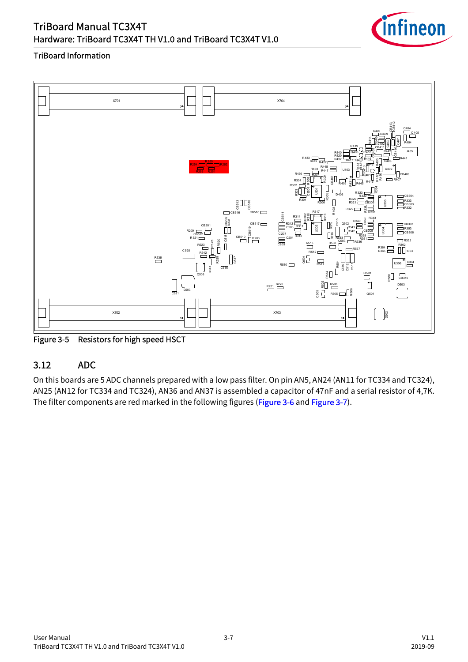

#### TriBoard Information



<span id="page-13-1"></span>Figure 3-5 Resistors for high speed HSCT

# <span id="page-13-0"></span>3.12 ADC

On this boards are 5 ADC channels prepared with a low pass filter. On pin AN5, AN24 (AN11 for TC334 and TC324), AN25 (AN12 for TC334 and TC324), AN36 and AN37 is assembled a capacitor of 47nF and a serial resistor of 4,7K.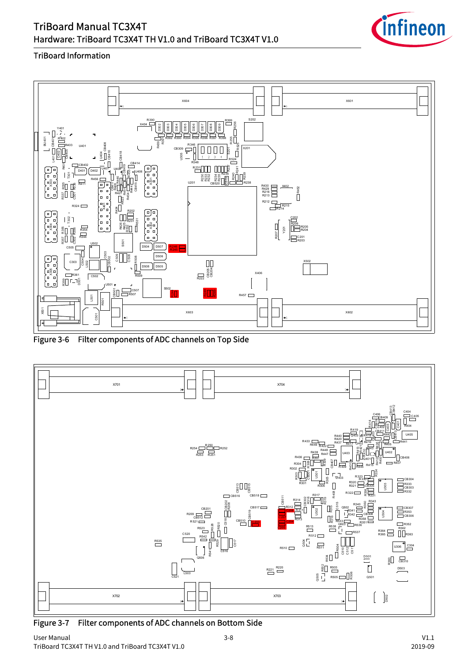

#### TriBoard Information



<span id="page-14-0"></span>Figure 3-6 Filter components of ADC channels on Top Side



<span id="page-14-1"></span>Figure 3-7 Filter components of ADC channels on Bottom Side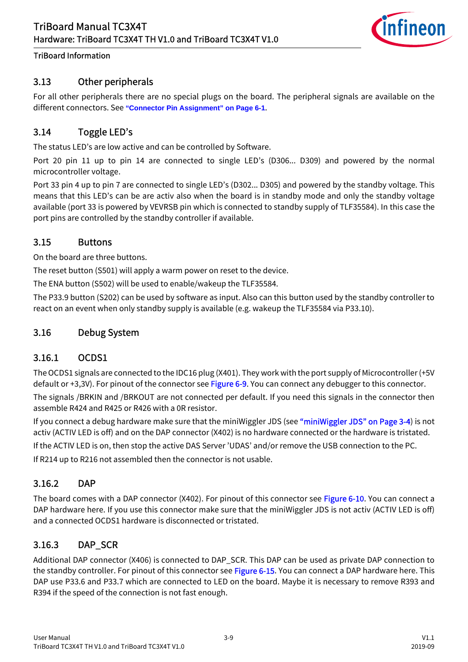

# <span id="page-15-0"></span>3.13 Other peripherals

For all other peripherals there are no special plugs on the board. The peripheral signals are available on the different connectors. See **["Connector Pin Assignment" on Page 6-1](#page-26-2)**.

### <span id="page-15-1"></span>3.14 Toggle LED's

The status LED's are low active and can be controlled by Software.

Port 20 pin 11 up to pin 14 are connected to single LED's (D306... D309) and powered by the normal microcontroller voltage.

Port 33 pin 4 up to pin 7 are connected to single LED's (D302... D305) and powered by the standby voltage. This means that this LED's can be are activ also when the board is in standby mode and only the standby voltage available (port 33 is powered by VEVRSB pin which is connected to standby supply of TLF35584). In this case the port pins are controlled by the standby controller if available.

#### <span id="page-15-2"></span>3.15 Buttons

On the board are three buttons.

The reset button (S501) will apply a warm power on reset to the device.

The ENA button (S502) will be used to enable/wakeup the TLF35584.

The P33.9 button (S202) can be used by software as input. Also can this button used by the standby controller to react on an event when only standby supply is available (e.g. wakeup the TLF35584 via P33.10).

#### <span id="page-15-3"></span>3.16 Debug System

#### <span id="page-15-4"></span>3.16.1 OCDS1

The OCDS1 signals are connected to the IDC16 plug (X401). They work with the port supply of Microcontroller (+5V default or +3,3V). For pinout of the connector see [Figure 6-9.](#page-30-5) You can connect any debugger to this connector. The signals /BRKIN and /BRKOUT are not connected per default. If you need this signals in the connector then assemble R424 and R425 or R426 with a 0R resistor.

If you connect a debug hardware make sure that the miniWiggler JDS (see ["miniWiggler JDS" on Page 3-4\)](#page-10-1) is not activ (ACTIV LED is off) and on the DAP connector (X402) is no hardware connected or the hardware is tristated.

If the ACTIV LED is on, then stop the active DAS Server 'UDAS' and/or remove the USB connection to the PC.

If R214 up to R216 not assembled then the connector is not usable.

#### <span id="page-15-5"></span>3.16.2 DAP

The board comes with a DAP connector (X402). For pinout of this connector see [Figure 6-10.](#page-31-2) You can connect a DAP hardware here. If you use this connector make sure that the miniWiggler JDS is not activ (ACTIV LED is off) and a connected OCDS1 hardware is disconnected or tristated.

#### <span id="page-15-6"></span>3.16.3 DAP\_SCR

Additional DAP connector (X406) is connected to DAP\_SCR. This DAP can be used as private DAP connection to the standby controller. For pinout of this connector see Figure 6-15. You can connect a DAP hardware here. This DAP use P33.6 and P33.7 which are connected to LED on the board. Maybe it is necessary to remove R393 and R394 if the speed of the connection is not fast enough.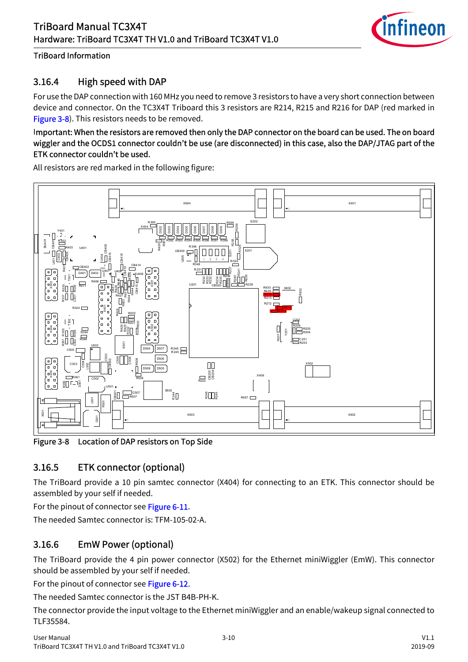

# <span id="page-16-0"></span>3.16.4 High speed with DAP

For use the DAP connection with 160 MHz you need to remove 3 resistors to have a very short connection between device and connector. On the TC3X4T Triboard this 3 resistors are R214, R215 and R216 for DAP (red marked in **[Figure 3-8\)](#page-16-3).** This resistors needs to be removed.

#### Important: When the resistors are removed then only the DAP connector on the board can be used. The on board wiggler and the OCDS1 connector couldn't be use (are disconnected) in this case, also the DAP/JTAG part of the ETK connector couldn't be used.

All resistors are red marked in the following figure:



<span id="page-16-3"></span>Figure 3-8 Location of DAP resistors on Top Side

# <span id="page-16-1"></span>3.16.5 ETK connector (optional)

The TriBoard provide a 10 pin samtec connector (X404) for connecting to an ETK. This connector should be assembled by your self if needed.

For the pinout of connector see [Figure 6-11](#page-31-3).

The needed Samtec connector is: TFM-105-02-A.

# <span id="page-16-2"></span>3.16.6 EmW Power (optional)

The TriBoard provide the 4 pin power connector (X502) for the Ethernet miniWiggler (EmW). This connector should be assembled by your self if needed.

For the pinout of connector see [Figure 6-12](#page-32-1).

The needed Samtec connector is the JST B4B-PH-K.

The connector provide the input voltage to the Ethernet miniWiggler and an enable/wakeup signal connected to TLF35584.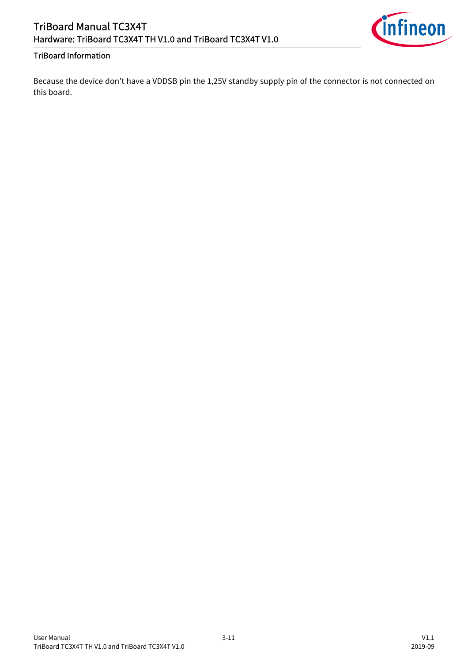

Because the device don't have a VDDSB pin the 1,25V standby supply pin of the connector is not connected on this board.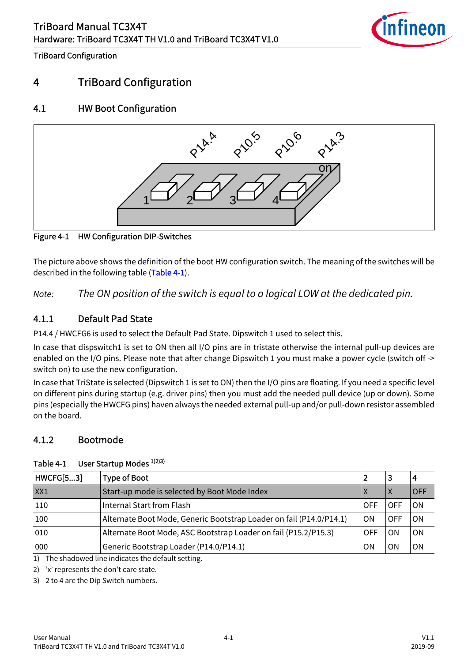

TriBoard Configuration

# <span id="page-18-0"></span>4 TriBoard Configuration

# <span id="page-18-1"></span>4.1 HW Boot Configuration



Figure 4-1 HW Configuration DIP-Switches

The picture above shows the definition of the boot HW configuration switch. The meaning of the switches will be described in the following table [\(Table 4-1\)](#page-18-4).

*Note: The ON position of the switch is equal to a logical LOW at the dedicated pin.*

# <span id="page-18-2"></span>4.1.1 Default Pad State

P14.4 / HWCFG6 is used to select the Default Pad State. Dipswitch 1 used to select this.

In case that dispswitch1 is set to ON then all I/O pins are in tristate otherwise the internal pull-up devices are enabled on the I/O pins. Please note that after change Dipswitch 1 you must make a power cycle (switch off -> switch on) to use the new configuration.

In case that TriState is selected (Dipswitch 1 is set to ON) then the I/O pins are floating. If you need a specific level on different pins during startup (e.g. driver pins) then you must add the needed pull device (up or down). Some pins (especially the HWCFG pins) haven always the needed external pull-up and/or pull-down resistor assembled on the board.

# <span id="page-18-3"></span>4.1.2 Bootmode

| <b>HWCFG[53]</b> | <b>Type of Boot</b>                                                 |     | 3   | 4          |
|------------------|---------------------------------------------------------------------|-----|-----|------------|
| XX1              | Start-up mode is selected by Boot Mode Index                        |     | X   | <b>OFF</b> |
| 110              | Internal Start from Flash                                           | OFF |     | ΟN         |
| 100              | Alternate Boot Mode, Generic Bootstrap Loader on fail (P14.0/P14.1) | ΟN  | OFF | ON         |
| 010              | Alternate Boot Mode, ASC Bootstrap Loader on fail (P15.2/P15.3)     | OFF | ON  | ΟN         |
| 000              | Generic Bootstrap Loader (P14.0/P14.1)                              | ΟN  | ON  | ON         |

#### <span id="page-18-5"></span><span id="page-18-4"></span>Table 4-1 User Startup Modes 1)2)3)

1) The shadowed line indicates the default setting.

2) 'x' represents the don't care state.

3) 2 to 4 are the Dip Switch numbers.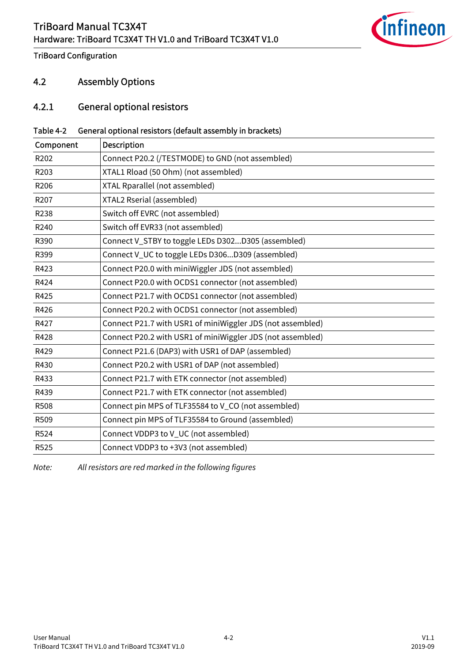

TriBoard Configuration

#### <span id="page-19-0"></span>4.2 Assembly Options

#### <span id="page-19-1"></span>4.2.1 General optional resistors

#### Table 4-2 General optional resistors (default assembly in brackets)

| <b>Description</b>                                         |
|------------------------------------------------------------|
| Connect P20.2 (/TESTMODE) to GND (not assembled)           |
| XTAL1 Rload (50 Ohm) (not assembled)                       |
| XTAL Rparallel (not assembled)                             |
| XTAL2 Rserial (assembled)                                  |
| Switch off EVRC (not assembled)                            |
| Switch off EVR33 (not assembled)                           |
| Connect V_STBY to toggle LEDs D302D305 (assembled)         |
| Connect V_UC to toggle LEDs D306D309 (assembled)           |
| Connect P20.0 with miniWiggler JDS (not assembled)         |
| Connect P20.0 with OCDS1 connector (not assembled)         |
| Connect P21.7 with OCDS1 connector (not assembled)         |
| Connect P20.2 with OCDS1 connector (not assembled)         |
| Connect P21.7 with USR1 of miniWiggler JDS (not assembled) |
| Connect P20.2 with USR1 of miniWiggler JDS (not assembled) |
| Connect P21.6 (DAP3) with USR1 of DAP (assembled)          |
| Connect P20.2 with USR1 of DAP (not assembled)             |
| Connect P21.7 with ETK connector (not assembled)           |
| Connect P21.7 with ETK connector (not assembled)           |
| Connect pin MPS of TLF35584 to V_CO (not assembled)        |
| Connect pin MPS of TLF35584 to Ground (assembled)          |
| Connect VDDP3 to V_UC (not assembled)                      |
| Connect VDDP3 to +3V3 (not assembled)                      |
|                                                            |

*Note: All resistors are red marked in the following figures*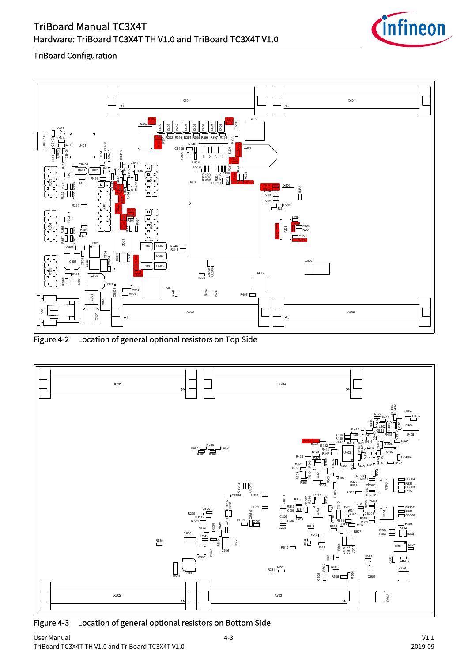

#### TriBoard Configuration



Figure 4-2 Location of general optional resistors on Top Side



Figure 4-3 Location of general optional resistors on Bottom Side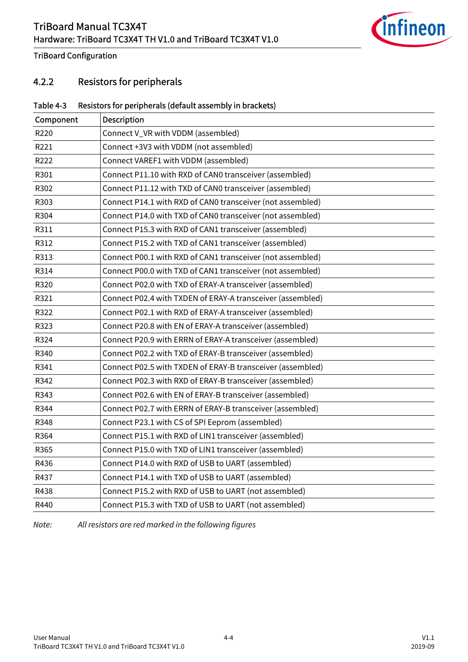

TriBoard Configuration

# <span id="page-21-0"></span>4.2.2 Resistors for peripherals

#### Table 4-3 Resistors for peripherals (default assembly in brackets)

| Component | Description                                                |
|-----------|------------------------------------------------------------|
| R220      | Connect V_VR with VDDM (assembled)                         |
| R221      | Connect +3V3 with VDDM (not assembled)                     |
| R222      | Connect VAREF1 with VDDM (assembled)                       |
| R301      | Connect P11.10 with RXD of CAN0 transceiver (assembled)    |
| R302      | Connect P11.12 with TXD of CAN0 transceiver (assembled)    |
| R303      | Connect P14.1 with RXD of CAN0 transceiver (not assembled) |
| R304      | Connect P14.0 with TXD of CAN0 transceiver (not assembled) |
| R311      | Connect P15.3 with RXD of CAN1 transceiver (assembled)     |
| R312      | Connect P15.2 with TXD of CAN1 transceiver (assembled)     |
| R313      | Connect P00.1 with RXD of CAN1 transceiver (not assembled) |
| R314      | Connect P00.0 with TXD of CAN1 transceiver (not assembled) |
| R320      | Connect P02.0 with TXD of ERAY-A transceiver (assembled)   |
| R321      | Connect P02.4 with TXDEN of ERAY-A transceiver (assembled) |
| R322      | Connect P02.1 with RXD of ERAY-A transceiver (assembled)   |
| R323      | Connect P20.8 with EN of ERAY-A transceiver (assembled)    |
| R324      | Connect P20.9 with ERRN of ERAY-A transceiver (assembled)  |
| R340      | Connect P02.2 with TXD of ERAY-B transceiver (assembled)   |
| R341      | Connect P02.5 with TXDEN of ERAY-B transceiver (assembled) |
| R342      | Connect P02.3 with RXD of ERAY-B transceiver (assembled)   |
| R343      | Connect P02.6 with EN of ERAY-B transceiver (assembled)    |
| R344      | Connect P02.7 with ERRN of ERAY-B transceiver (assembled)  |
| R348      | Connect P23.1 with CS of SPI Eeprom (assembled)            |
| R364      | Connect P15.1 with RXD of LIN1 transceiver (assembled)     |
| R365      | Connect P15.0 with TXD of LIN1 transceiver (assembled)     |
| R436      | Connect P14.0 with RXD of USB to UART (assembled)          |
| R437      | Connect P14.1 with TXD of USB to UART (assembled)          |
| R438      | Connect P15.2 with RXD of USB to UART (not assembled)      |
| R440      | Connect P15.3 with TXD of USB to UART (not assembled)      |

*Note: All resistors are red marked in the following figures*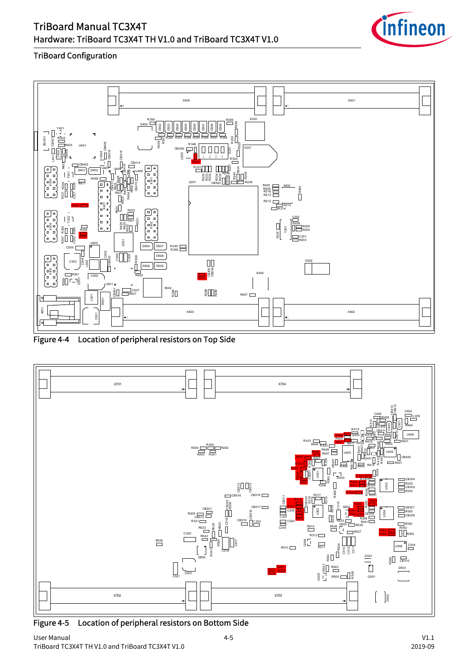

#### TriBoard Configuration



Figure 4-4 Location of peripheral resistors on Top Side



Figure 4-5 Location of peripheral resistors on Bottom Side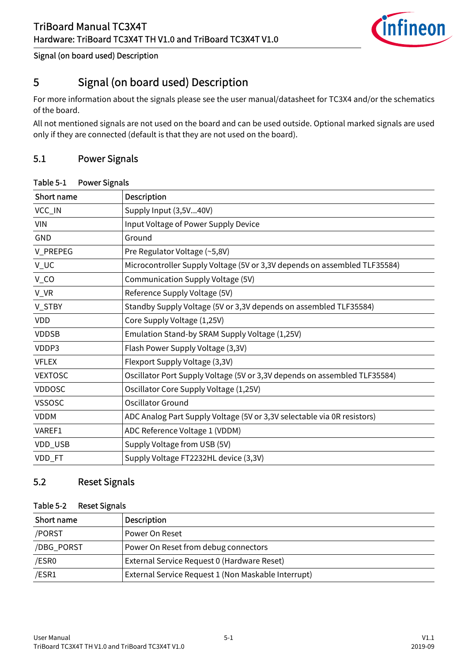

#### Signal (on board used) Description

# <span id="page-23-0"></span>5 Signal (on board used) Description

For more information about the signals please see the user manual/datasheet for TC3X4 and/or the schematics of the board.

All not mentioned signals are not used on the board and can be used outside. Optional marked signals are used only if they are connected (default is that they are not used on the board).

### <span id="page-23-1"></span>5.1 Power Signals

#### Table 5-1 Power Signals

| Short name     | <b>Description</b>                                                        |
|----------------|---------------------------------------------------------------------------|
| VCC_IN         | Supply Input (3,5V40V)                                                    |
| <b>VIN</b>     | Input Voltage of Power Supply Device                                      |
| <b>GND</b>     | Ground                                                                    |
| V_PREPEG       | Pre Regulator Voltage (~5,8V)                                             |
| V_UC           | Microcontroller Supply Voltage (5V or 3,3V depends on assembled TLF35584) |
| $V_{C}$ CO     | Communication Supply Voltage (5V)                                         |
| V_VR           | Reference Supply Voltage (5V)                                             |
| V_STBY         | Standby Supply Voltage (5V or 3,3V depends on assembled TLF35584)         |
| <b>VDD</b>     | Core Supply Voltage (1,25V)                                               |
| <b>VDDSB</b>   | Emulation Stand-by SRAM Supply Voltage (1,25V)                            |
| VDDP3          | Flash Power Supply Voltage (3,3V)                                         |
| <b>VFLEX</b>   | Flexport Supply Voltage (3,3V)                                            |
| <b>VEXTOSC</b> | Oscillator Port Supply Voltage (5V or 3,3V depends on assembled TLF35584) |
| <b>VDDOSC</b>  | Oscillator Core Supply Voltage (1,25V)                                    |
| <b>VSSOSC</b>  | <b>Oscillator Ground</b>                                                  |
| <b>VDDM</b>    | ADC Analog Part Supply Voltage (5V or 3,3V selectable via 0R resistors)   |
| VAREF1         | ADC Reference Voltage 1 (VDDM)                                            |
| VDD_USB        | Supply Voltage from USB (5V)                                              |
| VDD_FT         | Supply Voltage FT2232HL device (3,3V)                                     |

### <span id="page-23-2"></span>5.2 Reset Signals

#### Table 5-2 Reset Signals

| Short name | <b>Description</b>                                  |
|------------|-----------------------------------------------------|
| /PORST     | Power On Reset                                      |
| /DBG_PORST | Power On Reset from debug connectors                |
| /ESR0      | External Service Request 0 (Hardware Reset)         |
| /ESR1      | External Service Request 1 (Non Maskable Interrupt) |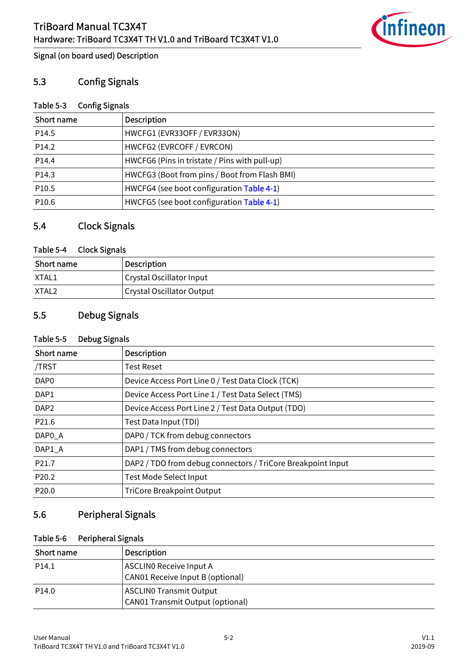

Signal (on board used) Description

#### <span id="page-24-0"></span>5.3 Config Signals

#### Table 5-3 Config Signals

| Short name        | Description                                   |
|-------------------|-----------------------------------------------|
| P <sub>14.5</sub> | HWCFG1 (EVR33OFF / EVR33ON)                   |
| P14.2             | HWCFG2 (EVRCOFF / EVRCON)                     |
| P14.4             | HWCFG6 (Pins in tristate / Pins with pull-up) |
| P14.3             | HWCFG3 (Boot from pins / Boot from Flash BMI) |
| P <sub>10.5</sub> | HWCFG4 (see boot configuration Table 4-1)     |
| P10.6             | HWCFG5 (see boot configuration Table 4-1)     |

# <span id="page-24-1"></span>5.4 Clock Signals

#### Table 5-4 Clock Signals

| Short name | <b>Description</b>               |
|------------|----------------------------------|
| XTAL1      | Crystal Oscillator Input         |
| XTAL2      | <b>Crystal Oscillator Output</b> |

# <span id="page-24-2"></span>5.5 Debug Signals

#### Table 5-5 Debug Signals

| Short name        | <b>Description</b>                                          |
|-------------------|-------------------------------------------------------------|
| /TRST             | Test Reset                                                  |
| DAP <sub>0</sub>  | Device Access Port Line 0 / Test Data Clock (TCK)           |
| DAP1              | Device Access Port Line 1 / Test Data Select (TMS)          |
| DAP <sub>2</sub>  | Device Access Port Line 2 / Test Data Output (TDO)          |
| P21.6             | Test Data Input (TDI)                                       |
| DAP0_A            | DAP0 / TCK from debug connectors                            |
| DAP1_A            | DAP1 / TMS from debug connectors                            |
| P <sub>21.7</sub> | DAP2 / TDO from debug connectors / TriCore Breakpoint Input |
| P20.2             | <b>Test Mode Select Input</b>                               |
| P20.0             | <b>TriCore Breakpoint Output</b>                            |

# <span id="page-24-3"></span>5.6 Peripheral Signals

#### Table 5-6 Peripheral Signals

| Short name        | <b>Description</b>                      |
|-------------------|-----------------------------------------|
| P <sub>14.1</sub> | <b>ASCLINO Receive Input A</b>          |
|                   | CAN01 Receive Input B (optional)        |
| P <sub>14.0</sub> | <b>ASCLINO Transmit Output</b>          |
|                   | <b>CAN01 Transmit Output (optional)</b> |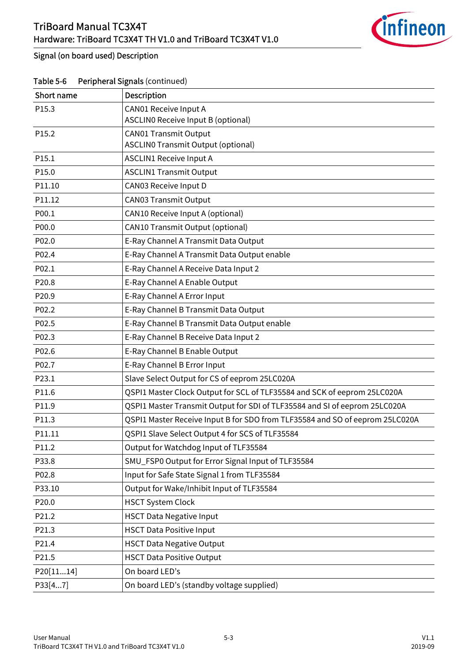

#### Signal (on board used) Description

| Short name | Description                                                                  |
|------------|------------------------------------------------------------------------------|
| P15.3      | <b>CAN01 Receive Input A</b>                                                 |
|            | ASCLINO Receive Input B (optional)                                           |
| P15.2      | <b>CAN01 Transmit Output</b><br><b>ASCLINO Transmit Output (optional)</b>    |
| P15.1      | <b>ASCLIN1 Receive Input A</b>                                               |
| P15.0      | <b>ASCLIN1 Transmit Output</b>                                               |
| P11.10     | CAN03 Receive Input D                                                        |
| P11.12     | <b>CAN03 Transmit Output</b>                                                 |
| P00.1      | CAN10 Receive Input A (optional)                                             |
| P00.0      | CAN10 Transmit Output (optional)                                             |
| P02.0      | E-Ray Channel A Transmit Data Output                                         |
|            |                                                                              |
| P02.4      | E-Ray Channel A Transmit Data Output enable                                  |
| P02.1      | E-Ray Channel A Receive Data Input 2                                         |
| P20.8      | E-Ray Channel A Enable Output                                                |
| P20.9      | E-Ray Channel A Error Input                                                  |
| P02.2      | E-Ray Channel B Transmit Data Output                                         |
| P02.5      | E-Ray Channel B Transmit Data Output enable                                  |
| P02.3      | E-Ray Channel B Receive Data Input 2                                         |
| P02.6      | E-Ray Channel B Enable Output                                                |
| P02.7      | E-Ray Channel B Error Input                                                  |
| P23.1      | Slave Select Output for CS of eeprom 25LC020A                                |
| P11.6      | QSPI1 Master Clock Output for SCL of TLF35584 and SCK of eeprom 25LC020A     |
| P11.9      | QSPI1 Master Transmit Output for SDI of TLF35584 and SI of eeprom 25LC020A   |
| P11.3      | QSPI1 Master Receive Input B for SDO from TLF35584 and SO of eeprom 25LC020A |
| P11.11     | QSPI1 Slave Select Output 4 for SCS of TLF35584                              |
| P11.2      | Output for Watchdog Input of TLF35584                                        |
| P33.8      | SMU_FSP0 Output for Error Signal Input of TLF35584                           |
| P02.8      | Input for Safe State Signal 1 from TLF35584                                  |
| P33.10     | Output for Wake/Inhibit Input of TLF35584                                    |
| P20.0      | <b>HSCT System Clock</b>                                                     |
| P21.2      | <b>HSCT Data Negative Input</b>                                              |
| P21.3      | <b>HSCT Data Positive Input</b>                                              |
| P21.4      | <b>HSCT Data Negative Output</b>                                             |
| P21.5      | <b>HSCT Data Positive Output</b>                                             |
| P20[1114]  | On board LED's                                                               |
| P33[47]    | On board LED's (standby voltage supplied)                                    |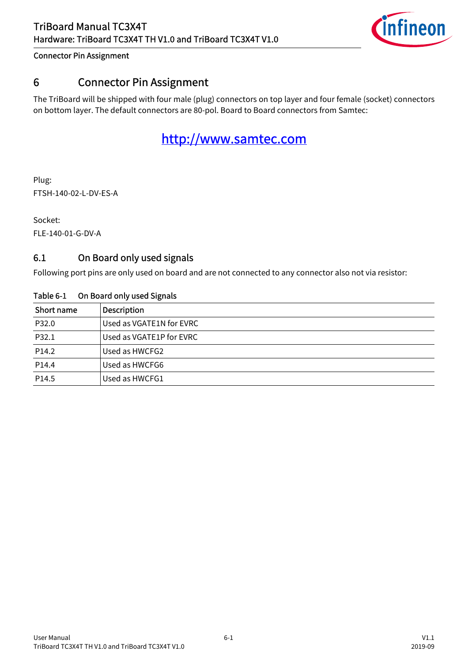

# <span id="page-26-2"></span><span id="page-26-0"></span>6 Connector Pin Assignment

The TriBoard will be shipped with four male (plug) connectors on top layer and four female (socket) connectors on bottom layer. The default connectors are 80-pol. Board to Board connectors from Samtec:

# <http://www.samtec.com>

Plug: FTSH-140-02-L-DV-ES-A

Socket: FLE-140-01-G-DV-A

# <span id="page-26-1"></span>6.1 On Board only used signals

Following port pins are only used on board and are not connected to any connector also not via resistor:

| Short name | <b>Description</b>       |  |  |
|------------|--------------------------|--|--|
| P32.0      | Used as VGATE1N for EVRC |  |  |
| P32.1      | Used as VGATE1P for EVRC |  |  |
| P14.2      | Used as HWCFG2           |  |  |
| P14.4      | Used as HWCFG6           |  |  |
| P14.5      | Used as HWCFG1           |  |  |

#### Table 6-1 On Board only used Signals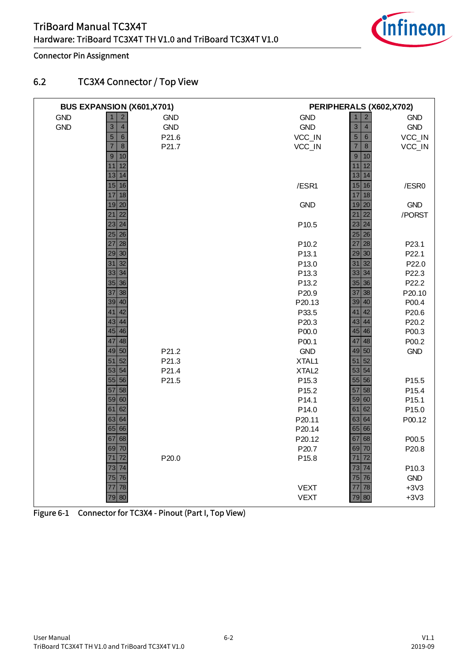

### <span id="page-27-0"></span>6.2 TC3X4 Connector / Top View

|            | BUS EXPANSION (X601,X701)     |            |                   | PERIPHERALS (X602, X702)         |            |
|------------|-------------------------------|------------|-------------------|----------------------------------|------------|
| <b>GND</b> | $\overline{2}$                | <b>GND</b> | <b>GND</b>        | $\overline{c}$<br>$\mathbf{1}$   | <b>GND</b> |
| <b>GND</b> | $\overline{4}$<br>3           | <b>GND</b> | <b>GND</b>        | $\overline{3}$<br>$\overline{4}$ | GND        |
|            | $\,$ 6 $\,$<br>$\overline{5}$ | P21.6      | VCC_IN            | $\sqrt{5}$<br>$\,$ 6 $\,$        | VCC_IN     |
|            | $\overline{7}$<br>$\,8\,$     | P21.7      | VCC_IN            | $\overline{7}$<br>$\bf{8}$       | VCC_IN     |
|            | 9<br>10                       |            |                   | $\overline{9}$<br>10             |            |
|            | 12<br>11                      |            |                   | 12<br>11                         |            |
|            | 14<br>13                      |            |                   | $\overline{14}$<br>13            |            |
|            | 15 16                         |            | /ESR1             | 15<br>16                         | /ESR0      |
|            | 18<br>17                      |            |                   | 17<br>18                         |            |
|            | 19 20                         |            | <b>GND</b>        | 19<br>20                         | <b>GND</b> |
|            | 22<br>21                      |            |                   | 22<br>21                         | /PORST     |
|            | 23 24                         |            | P10.5             | 23<br>24                         |            |
|            | 25 26                         |            |                   | $25$ 26                          |            |
|            | 28<br>27                      |            | P10.2             | 27<br>28                         | P23.1      |
|            | 29 30                         |            | P <sub>13.1</sub> | 29<br>30                         | P22.1      |
|            | 32<br>31                      |            | P13.0             | 32<br>31                         | P22.0      |
|            | 34<br>33                      |            | P13.3             | 33<br>34                         | P22.3      |
|            | $35 \mid 36$                  |            | P13.2             | 35<br>36                         | P22.2      |
|            | 38<br>37                      |            | P20.9             | 37<br>38                         | P20.10     |
|            | $39 40$                       |            | P20.13            | 40<br>39                         | P00.4      |
|            | 42<br>41                      |            | P33.5             | 42<br>41                         | P20.6      |
|            | 44<br>43                      |            | P20.3             | 43<br>44                         | P20.2      |
|            | $45 \, 46$                    |            | P00.0             | 45<br>46                         | P00.3      |
|            | 48<br>47                      |            | P00.1             | 47<br>48                         | P00.2      |
|            | 49 50                         | P21.2      | <b>GND</b>        | 50<br>49                         | <b>GND</b> |
|            | 52<br>51                      | P21.3      | XTAL1             | 52<br>51                         |            |
|            | 54<br>53                      | P21.4      | XTAL <sub>2</sub> | 54<br>53                         |            |
|            | $55$ 56                       | P21.5      | P <sub>15.3</sub> | 55<br>56                         | P15.5      |
|            | 58<br>57                      |            | P15.2             | 58<br>57                         | P15.4      |
|            | 59 60                         |            | P <sub>14.1</sub> | 60<br>59                         | P15.1      |
|            | 62<br>61                      |            | P14.0             | 62<br>61                         | P15.0      |
|            | 64<br>63                      |            | P20.11            | 63<br>64                         | P00.12     |
|            | 65 66                         |            | P20.14            | 65 66                            |            |
|            | 68<br>67                      |            | P20.12            | 68<br>67                         | P00.5      |
|            | 69 70                         |            | P20.7             | 70<br>69                         | P20.8      |
|            | 72<br>71                      | P20.0      | P15.8             | 72<br>71                         |            |
|            | 74<br>73                      |            |                   | 74<br>73                         | P10.3      |
|            | 75<br>76                      |            |                   | 75<br>76                         | <b>GND</b> |
|            | 78<br>77                      |            | <b>VEXT</b>       | 78<br>77                         | $+3V3$     |
|            | 79 80                         |            | <b>VEXT</b>       | 79 80                            | $+3V3$     |

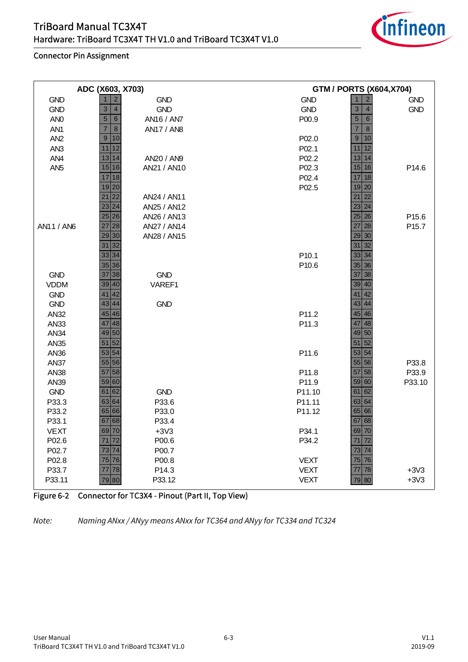

| ADC (X603, X703) |                                    |                   | <b>GTM / PORTS (X604, X704)</b> |                                                                  |                   |
|------------------|------------------------------------|-------------------|---------------------------------|------------------------------------------------------------------|-------------------|
| <b>GND</b>       | $\overline{2}$<br>$\mathbf{1}$     | <b>GND</b>        | <b>GND</b>                      | $\overline{c}$<br>$\mathbf{1}$                                   | <b>GND</b>        |
| <b>GND</b>       | 3<br>$\overline{4}$                | <b>GND</b>        | <b>GND</b>                      | 3<br>$\overline{4}$                                              | <b>GND</b>        |
| AN <sub>0</sub>  | $\overline{5}$<br>$6\phantom{1}6$  | AN16 / AN7        | P00.9                           | $\overline{5}$<br>$\,$ 6 $\,$                                    |                   |
| AN <sub>1</sub>  | $\overline{7}$<br>$\boldsymbol{8}$ | <b>AN17 / AN8</b> |                                 | $\overline{7}$<br>$\,$ 8 $\,$                                    |                   |
| AN <sub>2</sub>  | $\overline{9}$<br>10               |                   | P02.0                           | $\overline{9}$<br>10                                             |                   |
| AN <sub>3</sub>  | 11<br>12                           |                   | P02.1                           | 12<br>11                                                         |                   |
| AN4              | 13<br>14                           | AN20 / AN9        | P02.2                           | 14<br>13                                                         |                   |
| AN <sub>5</sub>  | 15 16                              | AN21 / AN10       | P02.3                           | $15$ 16                                                          | P14.6             |
|                  | 17<br>18                           |                   | P02.4                           | 17<br>18                                                         |                   |
|                  | 19 20                              |                   | P02.5                           | 19<br>20                                                         |                   |
|                  | $\overline{22}$<br>21              | AN24 / AN11       |                                 | $\overline{22}$<br>21                                            |                   |
|                  | 24<br>23                           | AN25 / AN12       |                                 | 23<br>24                                                         |                   |
|                  | 25 26                              | AN26 / AN13       |                                 | $25$ 26                                                          | P15.6             |
| AN11 / AN6       | 28<br>$\overline{27}$              | AN27 / AN14       |                                 | 27<br>28                                                         | P <sub>15.7</sub> |
|                  | 30<br>29                           | AN28 / AN15       |                                 | 29<br>30                                                         |                   |
|                  | 32<br>31                           |                   |                                 | 32<br>31                                                         |                   |
|                  | 33 34                              |                   | P <sub>10.1</sub>               | 34<br>33                                                         |                   |
|                  | 35 36                              |                   | P10.6                           | $\begin{array}{ c c c }\n\hline\n35 & 36 \\ \hline\n\end{array}$ |                   |
| <b>GND</b>       | 38<br>37                           | <b>GND</b>        |                                 | 37<br>38                                                         |                   |
| <b>VDDM</b>      | 39 40                              | VAREF1            |                                 | 40<br>39                                                         |                   |
| <b>GND</b>       | 42<br>41                           |                   |                                 | 42<br>41                                                         |                   |
| <b>GND</b>       | 43<br>44                           | <b>GND</b>        |                                 | 43<br>44                                                         |                   |
| <b>AN32</b>      | 45 46                              |                   | P11.2                           | $45 \mid 46$                                                     |                   |
| AN33             | 48<br>47                           |                   | P11.3                           | 48<br>47                                                         |                   |
| AN34             | 49 50                              |                   |                                 | 49 50                                                            |                   |
| AN35             | 52<br>51                           |                   |                                 | 52<br>51                                                         |                   |
| AN36             | 53 54                              |                   | P11.6                           | 53 54                                                            |                   |
| <b>AN37</b>      | 55 56                              |                   |                                 | $55$ 56                                                          | P33.8             |
| <b>AN38</b>      | 58<br>57                           |                   | P11.8                           | 57<br>58                                                         | P33.9             |
| AN39             | 59 60                              |                   | P11.9                           | 59 60                                                            | P33.10            |
| <b>GND</b>       | 61 62                              | <b>GND</b>        | P11.10                          | 62<br>61                                                         |                   |
| P33.3            | 63 64                              | P33.6             | P11.11                          | 64<br>63                                                         |                   |
| P33.2            | 65 66                              | P33.0             | P11.12                          | 65<br>66                                                         |                   |
| P33.1            | 68<br>67                           | P33.4             |                                 | 67<br>68                                                         |                   |
| <b>VEXT</b>      | 69 70                              | $+3V3$            | P34.1                           | 69 70                                                            |                   |
| P02.6            | 72<br>71                           | P00.6             | P34.2                           | 72<br>71                                                         |                   |
| P02.7            | 74<br>73                           | P00.7             |                                 | 73<br>74                                                         |                   |
| P02.8            | 75 76                              | P00.8             | <b>VEXT</b>                     | 75<br>76                                                         |                   |
| P33.7            | 78<br>77                           | P14.3             | <b>VEXT</b>                     | 78<br>77                                                         | $+3V3$            |
| P33.11           | 79 80                              | P33.12            | <b>VEXT</b>                     | 79 80                                                            | $+3V3$            |

#### Figure 6-2 Connector for TC3X4 - Pinout (Part II, Top View)

*Note: Naming ANxx / ANyy means ANxx for TC364 and ANyy for TC334 and TC324*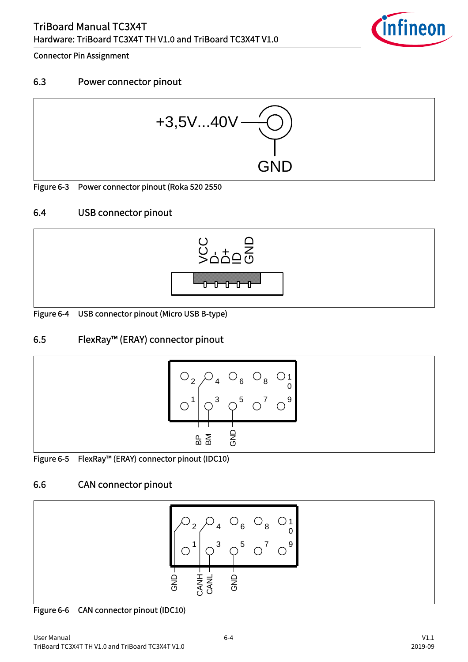

#### <span id="page-29-0"></span>6.3 Power connector pinout



<span id="page-29-4"></span>Figure 6-3 Power connector pinout (Roka 520 2550

# <span id="page-29-1"></span>6.4 USB connector pinout



<span id="page-29-5"></span>Figure 6-4 USB connector pinout (Micro USB B-type)

# <span id="page-29-2"></span>6.5 FlexRay™ (ERAY) connector pinout



<span id="page-29-6"></span>

|  | Figure 6-5 FlexRay™ (ERAY) connector pinout (IDC10) |  |
|--|-----------------------------------------------------|--|
|--|-----------------------------------------------------|--|

# <span id="page-29-3"></span>6.6 CAN connector pinout



<span id="page-29-7"></span>Figure 6-6 CAN connector pinout (IDC10)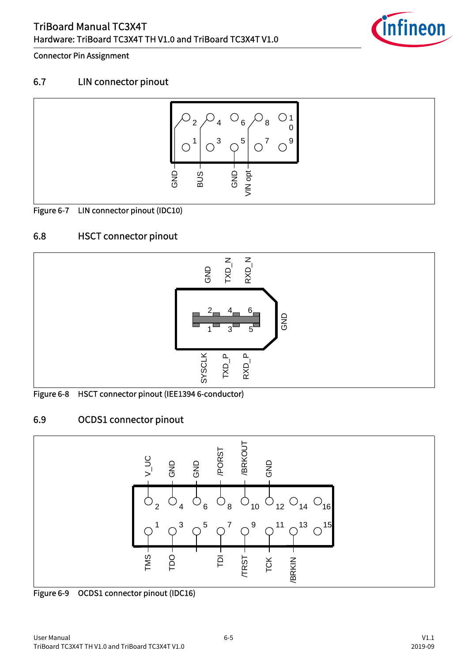

# <span id="page-30-0"></span>6.7 LIN connector pinout



<span id="page-30-3"></span>Figure 6-7 LIN connector pinout (IDC10)

# <span id="page-30-1"></span>6.8 HSCT connector pinout



<span id="page-30-4"></span>Figure 6-8 HSCT connector pinout (IEE1394 6-conductor)

# <span id="page-30-2"></span>6.9 OCDS1 connector pinout



<span id="page-30-5"></span>Figure 6-9 OCDS1 connector pinout (IDC16)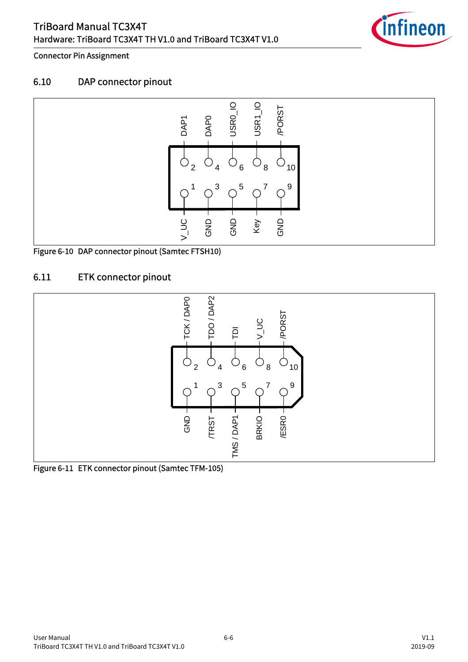

#### <span id="page-31-0"></span>6.10 DAP connector pinout



<span id="page-31-2"></span>Figure 6-10 DAP connector pinout (Samtec FTSH10)

# <span id="page-31-1"></span>6.11 ETK connector pinout



<span id="page-31-3"></span>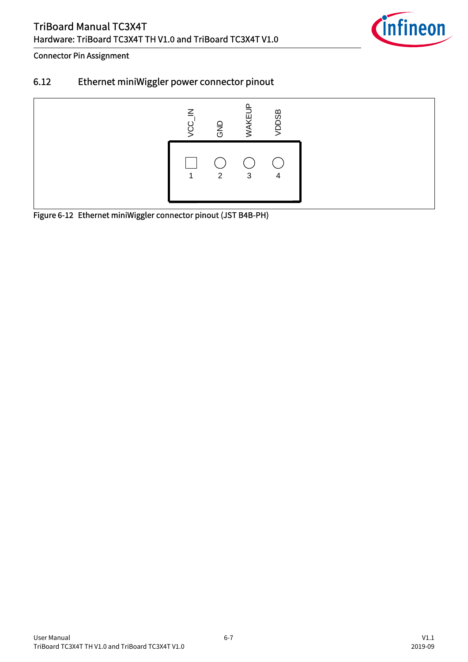

# <span id="page-32-0"></span>6.12 Ethernet miniWiggler power connector pinout



<span id="page-32-1"></span>Figure 6-12 Ethernet miniWiggler connector pinout (JST B4B-PH)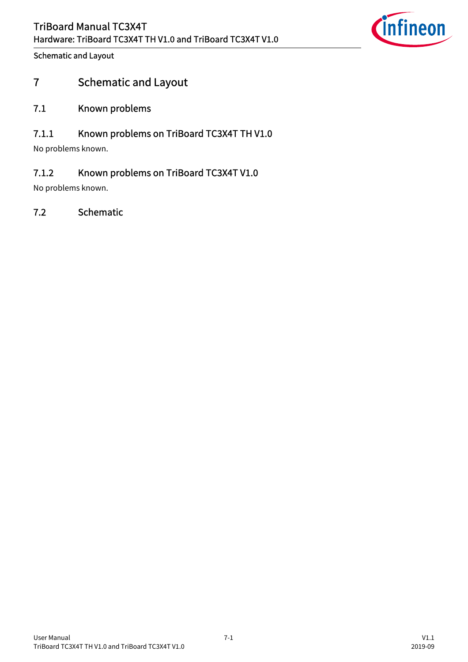

# <span id="page-33-0"></span>7 Schematic and Layout

#### <span id="page-33-1"></span>7.1 Known problems

### <span id="page-33-2"></span>7.1.1 Known problems on TriBoard TC3X4T TH V1.0

No problems known.

# <span id="page-33-3"></span>7.1.2 Known problems on TriBoard TC3X4T V1.0

No problems known.

# <span id="page-33-4"></span>7.2 Schematic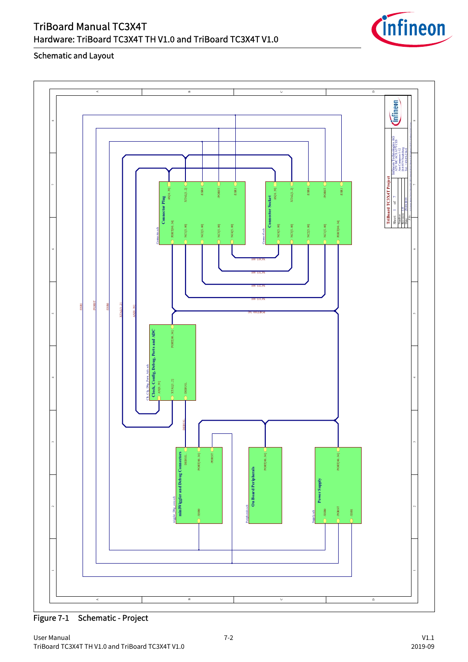

Figure 7-1 Schematic - Project

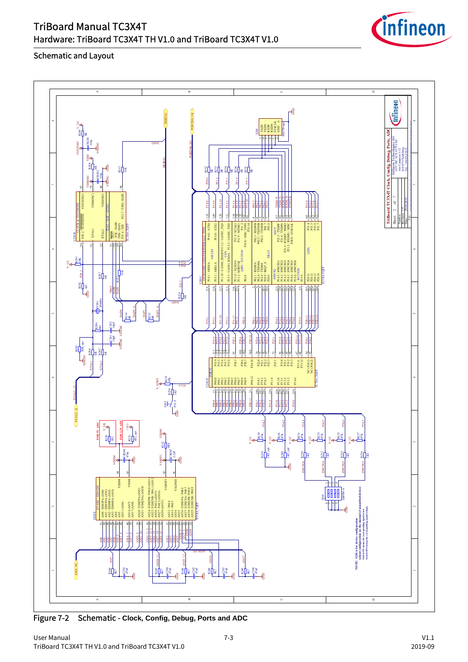|         | $\,<$<br>$\,$ $\,$                                                                                                                                                                                                                                                                                                                                                                                                                                                                                                                                                                                                                                                                                                                                                                                                                                                                                                                                                                                                                                                                                                                                                                                                                                                                                           | $\circ$                                                                                                                                                                                                                                                                                                                                                                                                                                                                                                                                                                                                                                                                                                                                                                                                                                                                                                                                                                                                                                                                                                               | $\mathrel{\scriptstyle\triangle}$                                                                                                                                                                                                         |
|---------|--------------------------------------------------------------------------------------------------------------------------------------------------------------------------------------------------------------------------------------------------------------------------------------------------------------------------------------------------------------------------------------------------------------------------------------------------------------------------------------------------------------------------------------------------------------------------------------------------------------------------------------------------------------------------------------------------------------------------------------------------------------------------------------------------------------------------------------------------------------------------------------------------------------------------------------------------------------------------------------------------------------------------------------------------------------------------------------------------------------------------------------------------------------------------------------------------------------------------------------------------------------------------------------------------------------|-----------------------------------------------------------------------------------------------------------------------------------------------------------------------------------------------------------------------------------------------------------------------------------------------------------------------------------------------------------------------------------------------------------------------------------------------------------------------------------------------------------------------------------------------------------------------------------------------------------------------------------------------------------------------------------------------------------------------------------------------------------------------------------------------------------------------------------------------------------------------------------------------------------------------------------------------------------------------------------------------------------------------------------------------------------------------------------------------------------------------|-------------------------------------------------------------------------------------------------------------------------------------------------------------------------------------------------------------------------------------------|
|         | ਡਿ<br><b>R209</b> Y UC<br>l≋<br>$-$ CB <sub>201</sub><br><b>VEXTOSC</b><br><b>ZdVC</b><br><b>ASSOSC</b><br>ypp                                                                                                                                                                                                                                                                                                                                                                                                                                                                                                                                                                                                                                                                                                                                                                                                                                                                                                                                                                                                                                                                                                                                                                                               | $\frac{1}{6}$<br>$\begin{array}{l} \mathbb{R} \mathbb{R} \mathbb{R} \mathbb{R} \mathbb{R} \mathbb{R} \mathbb{R} \mathbb{R} \mathbb{R} \mathbb{R} \mathbb{R} \mathbb{R} \mathbb{R} \mathbb{R} \mathbb{R} \mathbb{R} \mathbb{R} \mathbb{R} \mathbb{R} \mathbb{R} \mathbb{R} \mathbb{R} \mathbb{R} \mathbb{R} \mathbb{R} \mathbb{R} \mathbb{R} \mathbb{R} \mathbb{R} \mathbb{R} \mathbb{R} \mathbb{R} \mathbb{R} \mathbb{R} \mathbb{R} \mathbb$<br><b>HSCTO-</b><br>$\overline{3}$                                                                                                                                                                                                                                                                                                                                                                                                                                                                                                                                                                                                                                       | Cinfineon<br>œ<br>TriBoard TC3X4T Clock, Config, Debug, Ports, ADC<br>Infineon Technologies AG<br>ATV MC ACE ATV CES<br>Am Campeon 1-12<br>Del: +49.89-234-01<br>Tel: +49.89-234-01                                                       |
|         | R208<br>杙<br>J≋<br>ទី∏ិ≋<br>$-0.202$<br>vsosc<br><b>VDDOSC</b><br>S<br>80<br>ซู<br>VDD(OSC)<br>VSS(OSC)                                                                                                                                                                                                                                                                                                                                                                                                                                                                                                                                                                                                                                                                                                                                                                                                                                                                                                                                                                                                                                                                                                                                                                                                      | ដ្ឋៀន ដ៏ៀន ដ៏ៀន ដ៏ៀន<br>P20.0<br>P21.3<br>P21.4<br>$\frac{12}{2}$<br>P <sub>21.5</sub>                                                                                                                                                                                                                                                                                                                                                                                                                                                                                                                                                                                                                                                                                                                                                                                                                                                                                                                                                                                                                                |                                                                                                                                                                                                                                           |
|         | $\text{P21.7} / \text{TDO} / \text{DAP2}$<br>P20.2 / TESTMODE VEXT(OSC)<br>$\begin{array}{l} \displaystyle\overline{\text{TRST}}\\ \text{TCK} \backslash \text{DAP} \\ \text{TMS} \backslash \text{DAP} \\ \text{PMS} \backslash \text{DAP} \\ \text{PMS} \backslash \text{PDD} \end{array}$<br><b>TOX4 TQFI</b><br><b>XTALI</b><br>XTAL2                                                                                                                                                                                                                                                                                                                                                                                                                                                                                                                                                                                                                                                                                                                                                                                                                                                                                                                                                                    | $\begin{array}{c}\n 1200 \\  \hline\n 1300 \\  \hline\n 1300 \\  \hline\n 1300 \\  \hline\n 1300 \\  \hline\n 1300 \\  \hline\n 1400 \\  \hline\n 1400 \\  \hline\n 1400 \\  \hline\n 1400 \\  \hline\n 1400 \\  \hline\n 1400 \\  \hline\n 1400 \\  \hline\n 1400 \\  \hline\n 1400 \\  \hline\n 1400 \\  \hline\n 1400 \\  \hline\n 1400 \\  \hline\n 1400 \\  \hline\n 1400 \\  \hline\n 1400 \\  \hline\n 1$<br>PIII.12<br>P15.0<br>P14.0<br>P15.2<br>$\frac{1}{2}$<br>P02.3<br>$\frac{39}{2}$<br>₹<br>$\rightarrow$<br>$\bar{3}$<br>3222<br>$\begin{array}{rcl} \text{BIC} & & \text{BIC} \\ \text{BIC} & & \text{BIC} \\ \text{BIC} & & \text{BIC} \\ \text{BIC} & & \text{BIC} \\ \text{BIC} & & \text{BIC} \\ \text{BIC} & & \text{BIC} \\ \text{BIC} & & \text{BIC} \\ \text{BIC} & & \text{BIC} \\ \text{BIC} & & \text{BIC} \\ \text{BIC} & & \text{BIC} \\ \text{BIC} & & \text{BIC} \\ \text{BIC} & & \text{BIC} \\ \text{BIC} & & \text{BIC} \\ \text{BIC} & & \text{BIC} \\ \text$<br>P14.0/ATX0<br>H 0TEEd<br>- THE TANS / STLE<br>- THE MOS / STLE<br>- TRIDS / STLE<br>- TRIDS / STLE<br>P15.0/ATX1 | $^\circ$<br>Nevision:<br>Revision:<br>Date:<br>Sheet:                                                                                                                                                                                     |
| $\circ$ | $\frac{1}{5}$<br>$\frac{1}{2}$<br>$\overline{a}$<br>$\boldsymbol{\Omega}$<br>$\frac{50}{10}$<br>$rac{917}{7074}$<br>IJã                                                                                                                                                                                                                                                                                                                                                                                                                                                                                                                                                                                                                                                                                                                                                                                                                                                                                                                                                                                                                                                                                                                                                                                      | піло/само варанілісямо упін<br>PIS.3/CAN01_RXDA PIS.2/CAN01_TXD<br>$\mathsf{LEDs}$<br><b>ASCLIN</b><br>$\begin{array}{ll} \text{PLLL1/ SLSO14} \\ \text{PL1.3/ MRT1B} \\ \text{QSPI/ TLF35584} \end{array}$<br><b>ERAY</b><br>$\begin{tabular}{ c c } \hline HWCG \\ \hline \textbf{HMS} & \textbf{HMS} \\ \hline \textbf{HMS} & \textbf{HMS} \\ \hline \textbf{HMS} & \textbf{HMS} \\ \hline \textbf{HMS} & \textbf{HMS} \\ \hline \textbf{HMS} & \textbf{HMS} \\ \hline \textbf{HMS} & \textbf{HMS} \\ \hline \textbf{HMS} & \textbf{HMS} \\ \hline \textbf{HMS} & \textbf{HMS} \\ \hline \textbf{HMS} & \textbf{HMS} \\ \hline \textbf{HMS} & \textbf{HMS} \\ \hline \textbf{HMS} &$<br>PIS.I/ARXIA<br>P02.1 / RXD0A<br>P02.4 / TXEN0A<br>P02.0 / TXD0A<br>P20.9 / REQ7_0<br>P20.8<br>P14.1/ARX0A                                                                                                                                                                                                                                                                                                                  |                                                                                                                                                                                                                                           |
|         | P <sub>20.2</sub><br>$\frac{1}{2}$<br>P21.7<br>$\frac{1}{2}$<br>2R<br>∄ู่ใ<br>$\frac{1}{T}$ <sup>2201</sup><br>DVb3                                                                                                                                                                                                                                                                                                                                                                                                                                                                                                                                                                                                                                                                                                                                                                                                                                                                                                                                                                                                                                                                                                                                                                                          | <b>FOX4 TQFF</b><br>ERA PRI<br>P02.8<br>U <sub>20IC</sub><br>$\frac{1}{2}$<br>$\frac{1}{2}$<br>40000<br>$\frac{1}{2}$<br>$\Rightarrow$<br>$-44.44$<br>$\sqrt{2}$<br>रू<br>₫                                                                                                                                                                                                                                                                                                                                                                                                                                                                                                                                                                                                                                                                                                                                                                                                                                                                                                                                           |                                                                                                                                                                                                                                           |
| s,      | <b>DARLA</b><br>DAP <sub>0</sub><br><b>DAPI</b><br>DAPI<br>$\frac{1}{2}$<br>$\frac{14}{98}$<br>$\frac{-C201}{10pF}$ $\frac{-C202}{10pF}$<br>R <sub>206</sub><br>vssosc vssosc                                                                                                                                                                                                                                                                                                                                                                                                                                                                                                                                                                                                                                                                                                                                                                                                                                                                                                                                                                                                                                                                                                                                | PIL10<br>$\frac{1}{2}$<br>P33.9<br>P20.11<br>P02.8<br>P15.3<br>PISH<br>P[4]<br><b>ERECO</b><br>ERECO<br>$PQ_2$<br>P20.10<br><b>P33H</b><br>$\frac{P20.6}{P10.7}$<br>$\frac{P220}{P221}$<br>P33.0<br>P203<br>P23.1<br>P34.1<br>P333<br>P333                                                                                                                                                                                                                                                                                                                                                                                                                                                                                                                                                                                                                                                                                                                                                                                                                                                                            |                                                                                                                                                                                                                                           |
| ÷       | $\sqrt{\frac{1}{80}}$ son_opt<br>$\frac{3}{2}$<br>$\frac{3}{2}$ $\frac{1}{2}$ $\frac{3}{2}$ $\frac{1}{2}$ $\frac{3}{2}$<br><b>XTALI</b><br><b>STAL2</b><br><b>R25</b>                                                                                                                                                                                                                                                                                                                                                                                                                                                                                                                                                                                                                                                                                                                                                                                                                                                                                                                                                                                                                                                                                                                                        | <u> ≋ ≅ </u><br>$\frac{3}{2}$<br><u>耕</u><br><u>sf</u><br>$\begin{array}{c c c c c} \hline \text{p13.11} & \text{p26} \\ \hline \text{p13.12} & \text{p38.13} \\ \hline \end{array}$<br>带鱼<br><u>starist</u><br><u>%</u><br>$\frac{1}{N}$ (P34.1) $\frac{1}{N}$<br>P20.6<br>P20.10<br>P23.1<br>$\begin{array}{c} 1000 \\ 1010 \\ 1010 \\ 1010 \\ 1010 \\ 1010 \\ \hline \end{array}$<br>P20.3<br>C3X4_TQFI<br>P00.12<br>P00.1<br>$\begin{array}{l} \textbf{P10.1} \\ \textbf{P10.2} \\ \textbf{P10.3} \end{array}$<br>P11.8<br>P14.6<br>P00.<br>P00.                                                                                                                                                                                                                                                                                                                                                                                                                                                                                                                                                                  |                                                                                                                                                                                                                                           |
|         | <b>P33.9</b><br>R256<br>]≌<br>$\frac{1}{6}$ $\frac{1}{p_{33}}$<br>$\frac{1}{2}$                                                                                                                                                                                                                                                                                                                                                                                                                                                                                                                                                                                                                                                                                                                                                                                                                                                                                                                                                                                                                                                                                                                                                                                                                              | U201D<br>$\frac{1}{2}$<br>鋼<br>$\frac{1}{2}$<br>增增<br>4444<br>$\frac{1}{2}$<br>P00.12<br>$_{\rm min}^{\rm m}$<br>P14.6<br>$\begin{array}{c}\n\phantom{0}13.0 \\ \phantom{0}11.0 \\ \phantom{0}11.0 \\ \phantom{0}11.0 \\ \phantom{0}11.0 \\ \phantom{0}11.0 \\ \phantom{0}11.0 \\ \phantom{0}11.0 \\ \phantom{0}11.0 \\ \phantom{0}11.0 \\ \phantom{0}11.0 \\ \phantom{0}11.0 \\ \phantom{0}11.0 \\ \phantom{0}11.0 \\ \phantom{0}11.0 \\ \phantom{0}11.0 \\ \phantom{0}11.0 \\ \phantom{0}11.0 \\ \phantom{0}11.0 \\ \phantom$<br>$rac{1}{2}$<br>$rac{1}{2}$<br>$rac{1}{2}$                                                                                                                                                                                                                                                                                                                                                                                                                                                                                                                                          |                                                                                                                                                                                                                                           |
| s       | FOR 3,3V ADC<br>$\sum_{i=1}^{n}$<br>$\frac{5}{6}$<br>FOR SV ADC<br>Ndu <sub>A</sub><br>$\frac{1}{2}$<br>$\frac{1}{2}$<br>$\begin{array}{c}\n\hline\n\text{R22}\n\hline\n-\text{CB205} & \text{6R8}\n\hline\n\end{array}$<br>$-$ CB <sub>204</sub>                                                                                                                                                                                                                                                                                                                                                                                                                                                                                                                                                                                                                                                                                                                                                                                                                                                                                                                                                                                                                                                            | P14.5<br>P10.5<br>P14.2<br>$V_{\text{max}}^{\text{UC}}$<br>$\frac{1}{2}$<br>$\frac{1}{2}$<br>$\frac{1}{2}$<br>$\frac{6}{5}$<br>$V_{\mathbf{A}}^{\text{DC}}$<br>$\frac{5}{4}$<br>$\frac{5}{4}$<br>$\frac{1}{2}$<br>R240<br>ដ្ឋិ∏≌                                                                                                                                                                                                                                                                                                                                                                                                                                                                                                                                                                                                                                                                                                                                                                                                                                                                                      | P10.6<br>$\frac{1}{2}$<br>$\frac{1}{2}$<br>$\frac{1}{2}$<br>ฐื่ៀ≌                                                                                                                                                                         |
|         | VAREFI<br><b>Ndah</b><br>偈<br>偈<br>위<br>취<br>뛰<br>NOON<br>VSSM<br>VAREFI<br><b>VAGND1</b>                                                                                                                                                                                                                                                                                                                                                                                                                                                                                                                                                                                                                                                                                                                                                                                                                                                                                                                                                                                                                                                                                                                                                                                                                    | $\frac{20}{2}$<br>₫g<br>HWCFG4<br><b>IWCFG6</b><br>信<br><u>adal</u><br> <br>                                                                                                                                                                                                                                                                                                                                                                                                                                                                                                                                                                                                                                                                                                                                                                                                                                                                                                                                                                                                                                          | ฐื่่µื่<br><b>HWCFGS</b><br>HWCFG3                                                                                                                                                                                                        |
| $\sim$  | $\begin{array}{ll} \star \text{ } \text{AVA} & \text{IDSSPB} \text{ } \text{P}\text{40.0} \text{ } (\text{AA} \cup \text{I}) \\ \star \text{ } \text{ANS} \text{ } & \text{IDSSNB} \text{ } (\text{P}\text{40.1} \text{ (AA1.2)} \\ \star \text{ } \text{ANS} \text{ } & \text{P}\text{40.2} \text{ (AA1.3)} \\ \star \text{ } \text{ANS} \text{ } & \text{P}\text{40.2} \text{ (AA1.4)} \\ \star \text{ } & \text{ANS} \text{ (AA1.5)} \\ \star \text{ } & \text$<br>AN20 / EDS2PA (AN9)<br>AN21 / EDS2NA (AN10)<br>$\begin{tabular}{c} A932/B04 \\ \hline A932/B04 \\ \hline A934 \\ \hline A934 \\ \hline A934 \\ \hline A934 \\ \hline A934 \\ \hline A936 \\ \hline A937/B05 \\ \hline A936/B08/B004 \\ \hline A936/B08/B04007 \\ \hline A936/B08/B04003 \\ \hline A936/B07B07B07 \\ \hline A936/B07B07 \\ \hline A936 \end{tabular}$<br>$\begin{array}{ll} \text{AW} & \text{FDSBIN} & (\text{AND}) \\ \text{AM} & \text{FDSBIN} & (\text{AND}) \\ \text{AN} & \text{FDSBIN} & (\text{AND}) \\ \text{AN} & \text{FDSBON} & (\text{AND}) \\ \text{AN} & \text{FDSBON} & (\text{AND}) \\ \text{AN} & \text{AN} & (\text{NN}) \\ \end{array}$<br>$\begin{array}{c} \mathrm{AN16}\,(\mathrm{ANT})\\ \mathrm{AN17}\,(\mathrm{ANS}) \end{array}$<br>UZOIE<br>$\frac{1}{2}$<br>$\frac{4}{35}$<br>일정 한 분들이 있다. | $\frac{1}{20}$<br>.<br>Tron<br><b>TC3X4 TQFF</b>                                                                                                                                                                                                                                                                                                                                                                                                                                                                                                                                                                                                                                                                                                                                                                                                                                                                                                                                                                                                                                                                      | NOTE: S201 is for device configuration<br>(about configuration see the manual of assembled device)<br>shack OFF mean the corresponding signal is high.<br>Shack OFF mean the corresponding signal is high.<br>PMSAIG<br>$\mathbf{c}$<br>偈 |
|         | $\frac{\frac{1}{111}}{\frac{1}{111}}$ $\frac{\frac{1}{111}}{\frac{1}{111}}$ $\frac{\frac{1}{111}}{\frac{1}{111}}$<br>$\frac{\frac{\text{A}332}{\text{A}334}}{\frac{\text{A}334}{\text{A}33}\sqrt{\frac{\text{A}33}{\text{A}33}\sqrt{\frac{\text{A}33}{\text{A}33}\sqrt{\frac{\text{A}33}{\text{A}3}\sqrt{\frac{\text{A}33}{\text{A}3}\sqrt{\frac{\text{A}33}{\text{A}3}\sqrt{\frac{\text{A}33}{\text{A}3}\sqrt{\frac{\text{A}33}{\text{A}3}\sqrt{\frac{\text{A}33}{\text{A}3}\sqrt{\frac{\text{A}33}{\text{A}3}\sqrt{\frac{\text{A}33}{\text{A$<br>$\frac{AN209}{AN2110}$<br>AN16 7<br><b>ERER ERER</b><br>Ξ<br>ž                                                                                                                                                                                                                                                                                                                                                                                                                                                                                                                                                                                                                                                                                            | 165<br>AN <sub>36</sub>                                                                                                                                                                                                                                                                                                                                                                                                                                                                                                                                                                                                                                                                                                                                                                                                                                                                                                                                                                                                                                                                                               |                                                                                                                                                                                                                                           |
|         | AN24<br>AN25<br>$\begin{picture}(20,10) \put(0,0){\line(1,0){15}} \put(15,0){\line(1,0){15}} \put(15,0){\line(1,0){15}} \put(15,0){\line(1,0){15}} \put(15,0){\line(1,0){15}} \put(15,0){\line(1,0){15}} \put(15,0){\line(1,0){15}} \put(15,0){\line(1,0){15}} \put(15,0){\line(1,0){15}} \put(15,0){\line(1,0){15}} \put(15,0){\line(1,0){15}} \put(15,0){\line(1$<br>靾<br>$\begin{array}{c}\n\phantom{00}1\phantom{0}0\phantom{0}0\phantom{0}0\phantom{0}0\phantom{0}0\phantom{0}0\phantom{0}0\phantom{0}0\phantom{0}0\phantom{0}0\phantom{0}0\phantom{0}0\phantom{0}0\phantom{0}0\phantom{0}0\phantom{0}0\phantom{0}0\phantom{0}0\phantom{0}0\phantom{0}0\phantom{0}0\phantom{0}0\phantom{0}0\phantom{0}0\phantom{0}0\phantom{0}0\phantom{0}0\phantom{0}0\phantom{0}0\$<br>$\frac{1}{2}$<br><b>SALE</b><br>惕<br>偈                                                                                                                                                                                                                                                                                                                                                                                                                                                                                         | $\frac{1}{2}$<br>$\frac{1}{47nE}$<br>$\begin{picture}(20,5) \put(0,0){\line(1,0){15}} \put(15,0){\line(1,0){15}} \put(15,0){\line(1,0){15}} \put(15,0){\line(1,0){15}} \put(15,0){\line(1,0){15}} \put(15,0){\line(1,0){15}} \put(15,0){\line(1,0){15}} \put(15,0){\line(1,0){15}} \put(15,0){\line(1,0){15}} \put(15,0){\line(1,0){15}} \put(15,0){\line(1,0){15}} \put(15,0){\line(1,$<br>$\frac{1}{2}$<br>$\frac{1}{6}$<br>$\frac{1}{6}$                                                                                                                                                                                                                                                                                                                                                                                                                                                                                                                                                                                                                                                                           |                                                                                                                                                                                                                                           |
|         | $\prec$<br>$\, \underline{\mathrm{m}}$                                                                                                                                                                                                                                                                                                                                                                                                                                                                                                                                                                                                                                                                                                                                                                                                                                                                                                                                                                                                                                                                                                                                                                                                                                                                       | $\circ$                                                                                                                                                                                                                                                                                                                                                                                                                                                                                                                                                                                                                                                                                                                                                                                                                                                                                                                                                                                                                                                                                                               | $\hfill\square$                                                                                                                                                                                                                           |

TriBoard Manual TC3X4T Hardware: TriBoard TC3X4T TH V1.0 and TriBoard TC3X4T V1.0

Figure 7-2 Schematic - **Clock, Config, Debug, Ports and ADC**

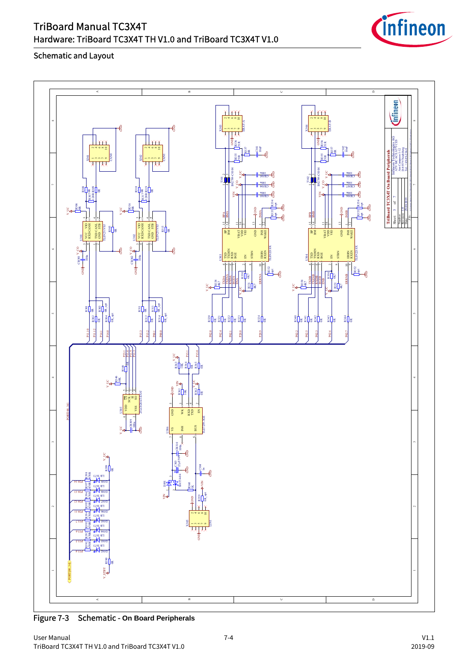| TriBoard Manual TC3X4T                                     |
|------------------------------------------------------------|
| Hardware: TriBoard TC3X4T TH V1.0 and TriBoard TC3X4T V1.0 |





Figure 7-3 Schematic - **On Board Peripherals**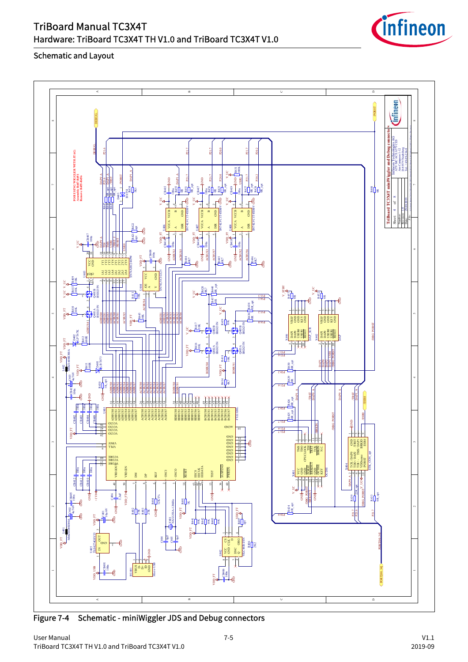





Figure 7-4 Schematic - miniWiggler JDS and Debug connectors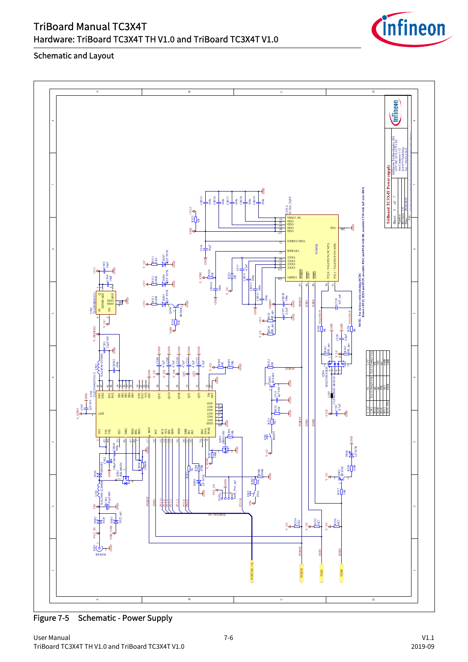

TriBoard Manual TC3X4T Hardware: TriBoard TC3X4T TH V1.0 and TriBoard TC3X4T V1.0 Schematic and Layout

Figure 7-5 Schematic - Power Supply

![](_page_38_Picture_6.jpeg)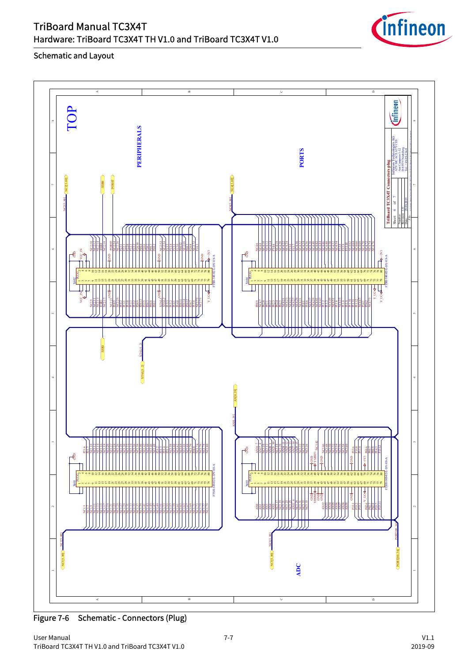![](_page_39_Figure_0.jpeg)

![](_page_39_Picture_1.jpeg)

![](_page_39_Figure_3.jpeg)

Figure 7-6 Schematic - Connectors (Plug)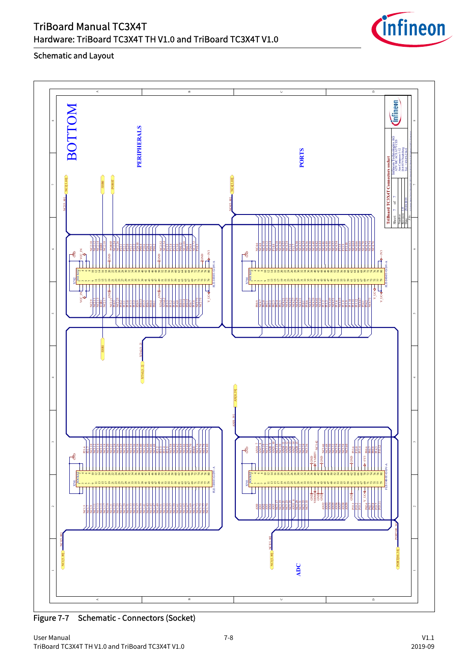![](_page_40_Figure_0.jpeg)

![](_page_40_Picture_1.jpeg)

![](_page_40_Figure_3.jpeg)

Figure 7-7 Schematic - Connectors (Socket)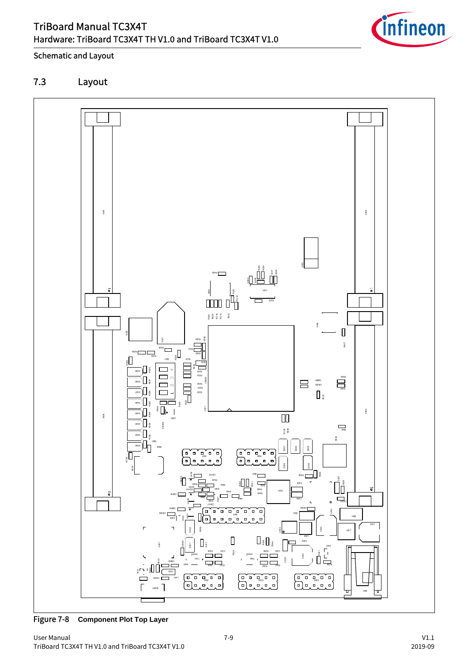![](_page_41_Picture_1.jpeg)

# <span id="page-41-0"></span>7.3 Layout

![](_page_41_Figure_4.jpeg)

Figure 7-8 **Component Plot Top Layer**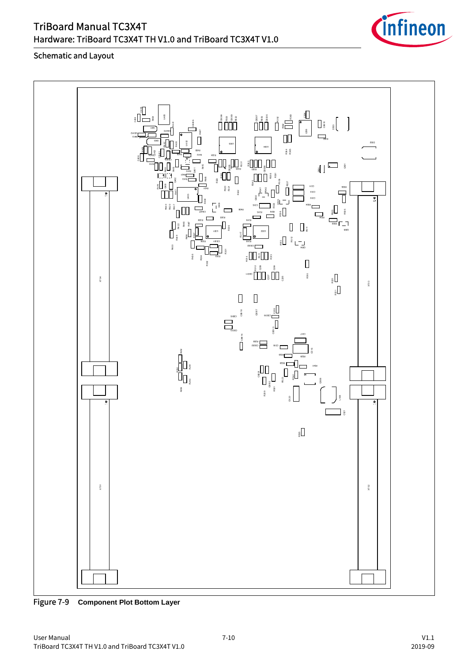![](_page_42_Figure_0.jpeg)

![](_page_42_Picture_1.jpeg)

![](_page_42_Figure_3.jpeg)

Figure 7-9 **Component Plot Bottom Layer**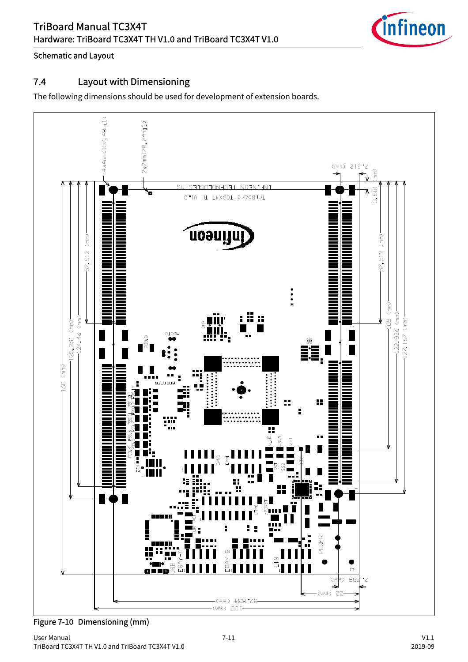![](_page_43_Picture_1.jpeg)

# <span id="page-43-0"></span>7.4 Layout with Dimensioning

The following dimensions should be used for development of extension boards.

![](_page_43_Figure_5.jpeg)

Figure 7-10 Dimensioning (mm)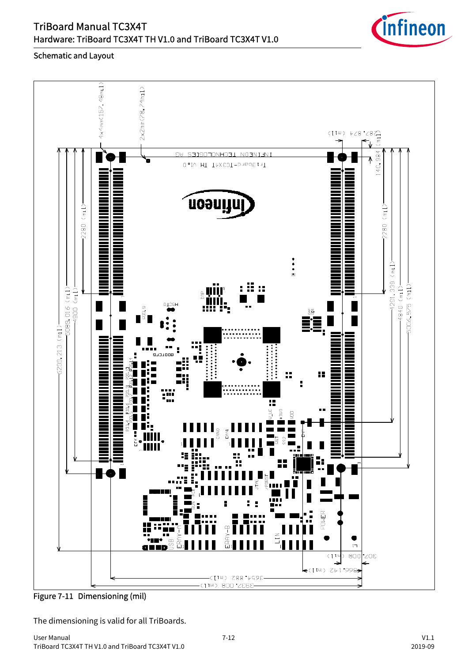![](_page_44_Picture_1.jpeg)

#### Schematic and Layout

![](_page_44_Figure_3.jpeg)

Figure 7-11 Dimensioning (mil)

The dimensioning is valid for all TriBoards.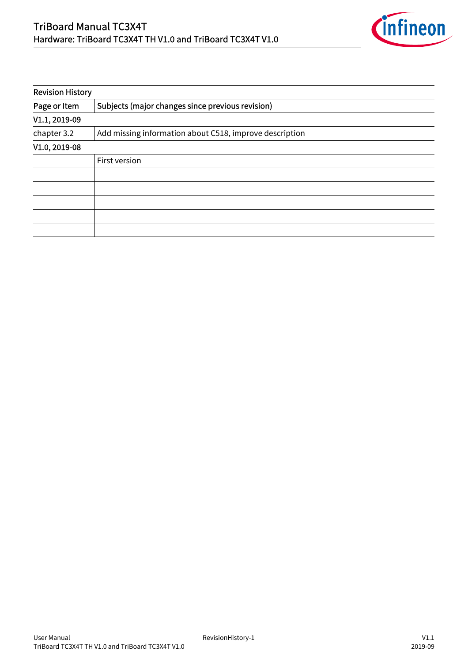![](_page_45_Picture_1.jpeg)

| <b>Revision History</b> |                                                         |  |  |
|-------------------------|---------------------------------------------------------|--|--|
| Page or Item            | Subjects (major changes since previous revision)        |  |  |
| V1.1, 2019-09           |                                                         |  |  |
| chapter 3.2             | Add missing information about C518, improve description |  |  |
| V1.0, 2019-08           |                                                         |  |  |
|                         | First version                                           |  |  |
|                         |                                                         |  |  |
|                         |                                                         |  |  |
|                         |                                                         |  |  |
|                         |                                                         |  |  |
|                         |                                                         |  |  |